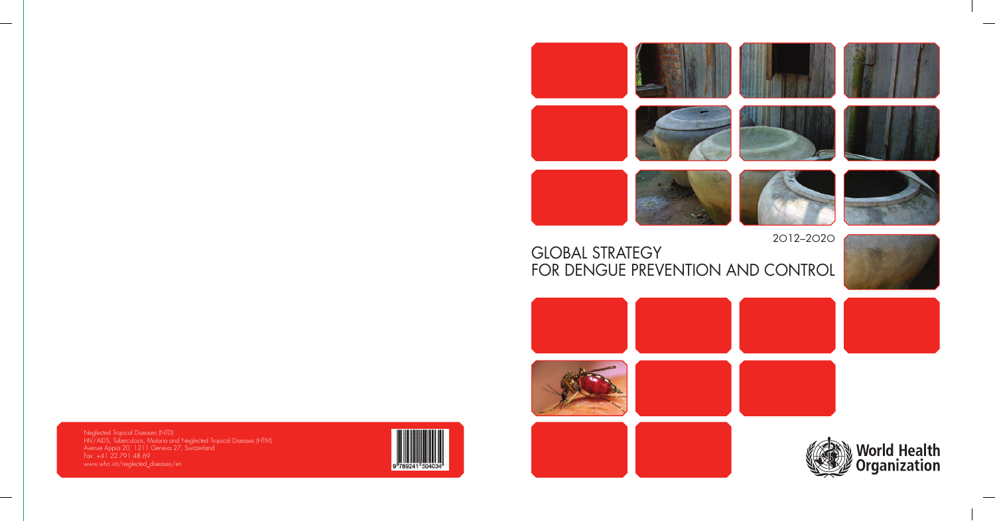

2O12–2O2O GLOBAL STRATEGY FOR DENGUE PREVENTION AND CONTROL



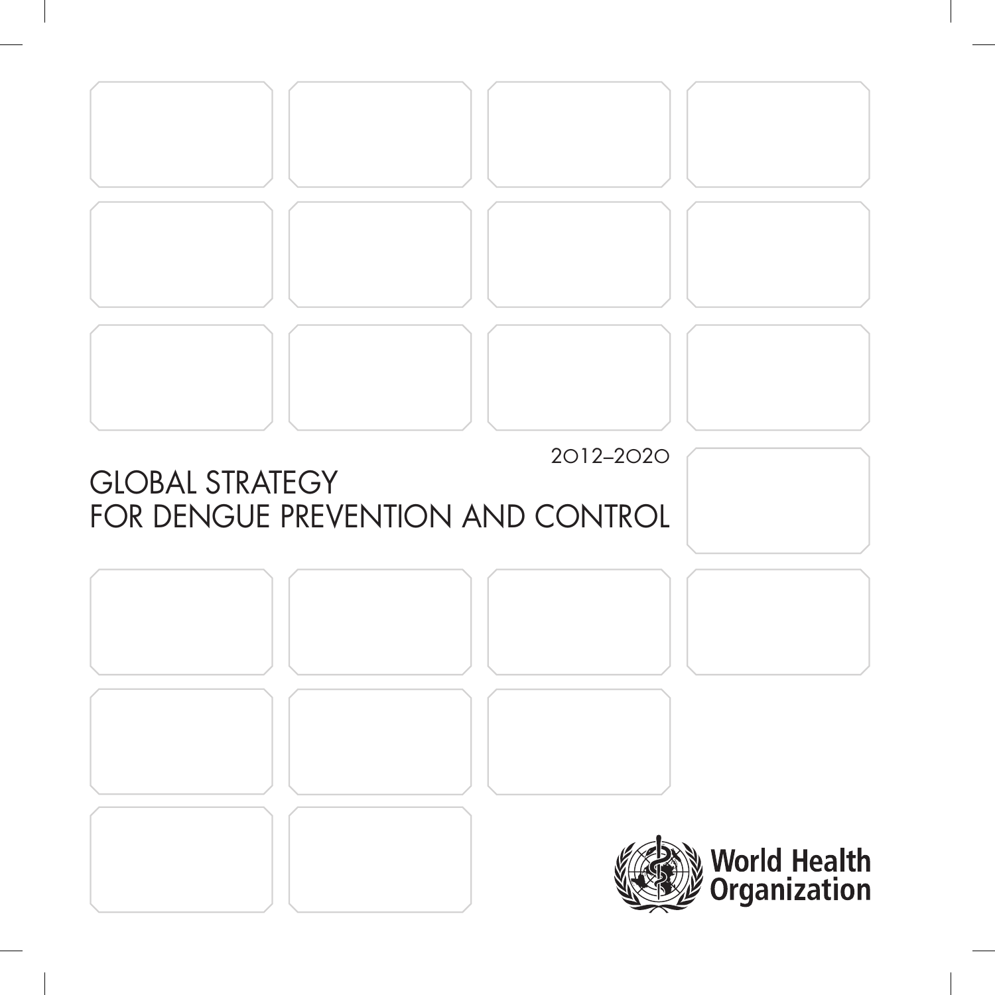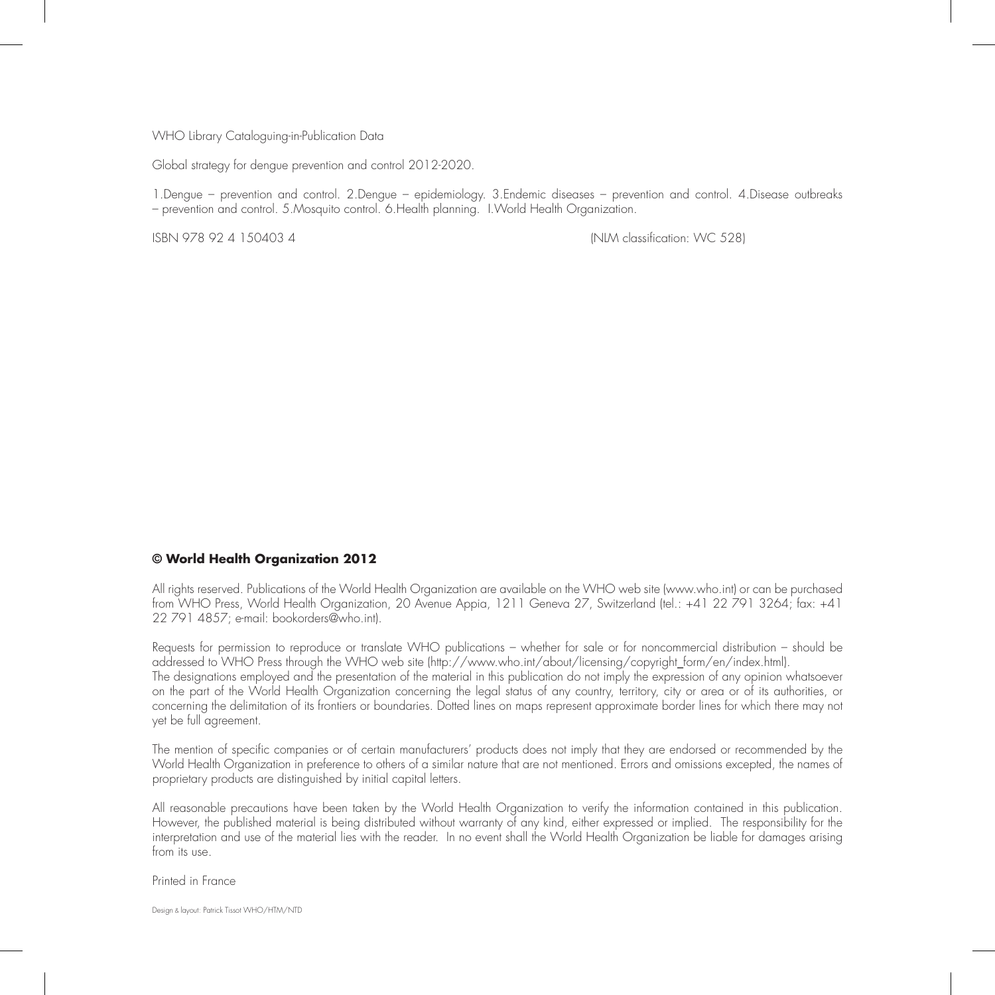#### WHO Library Cataloguing-in-Publication Data

Global strategy for dengue prevention and control 2012-2020.

1.Dengue – prevention and control. 2.Dengue – epidemiology. 3.Endemic diseases – prevention and control. 4.Disease outbreaks – prevention and control. 5.Mosquito control. 6.Health planning. I.World Health Organization.

ISBN 978 92 4 150403 4 (NLM classification: WC 528)

#### **© World Health Organization 2012**

All rights reserved. Publications of the World Health Organization are available on the WHO web site (www.who.int) or can be purchased from WHO Press, World Health Organization, 20 Avenue Appia, 1211 Geneva 27, Switzerland (tel.: +41 22 791 3264; fax: +41 22 791 4857; e-mail: bookorders@who.int).

Requests for permission to reproduce or translate WHO publications – whether for sale or for noncommercial distribution – should be addressed to WHO Press through the WHO web site (http://www.who.int/about/licensing/copyright\_form/en/index.html). The designations employed and the presentation of the material in this publication do not imply the expression of any opinion whatsoever on the part of the World Health Organization concerning the legal status of any country, territory, city or area or of its authorities, or concerning the delimitation of its frontiers or boundaries. Dotted lines on maps represent approximate border lines for which there may not yet be full agreement.

The mention of specific companies or of certain manufacturers' products does not imply that they are endorsed or recommended by the World Health Organization in preference to others of a similar nature that are not mentioned. Errors and omissions excepted, the names of proprietary products are distinguished by initial capital letters.

All reasonable precautions have been taken by the World Health Organization to verify the information contained in this publication. However, the published material is being distributed without warranty of any kind, either expressed or implied. The responsibility for the interpretation and use of the material lies with the reader. In no event shall the World Health Organization be liable for damages arising from its use.

Printed in France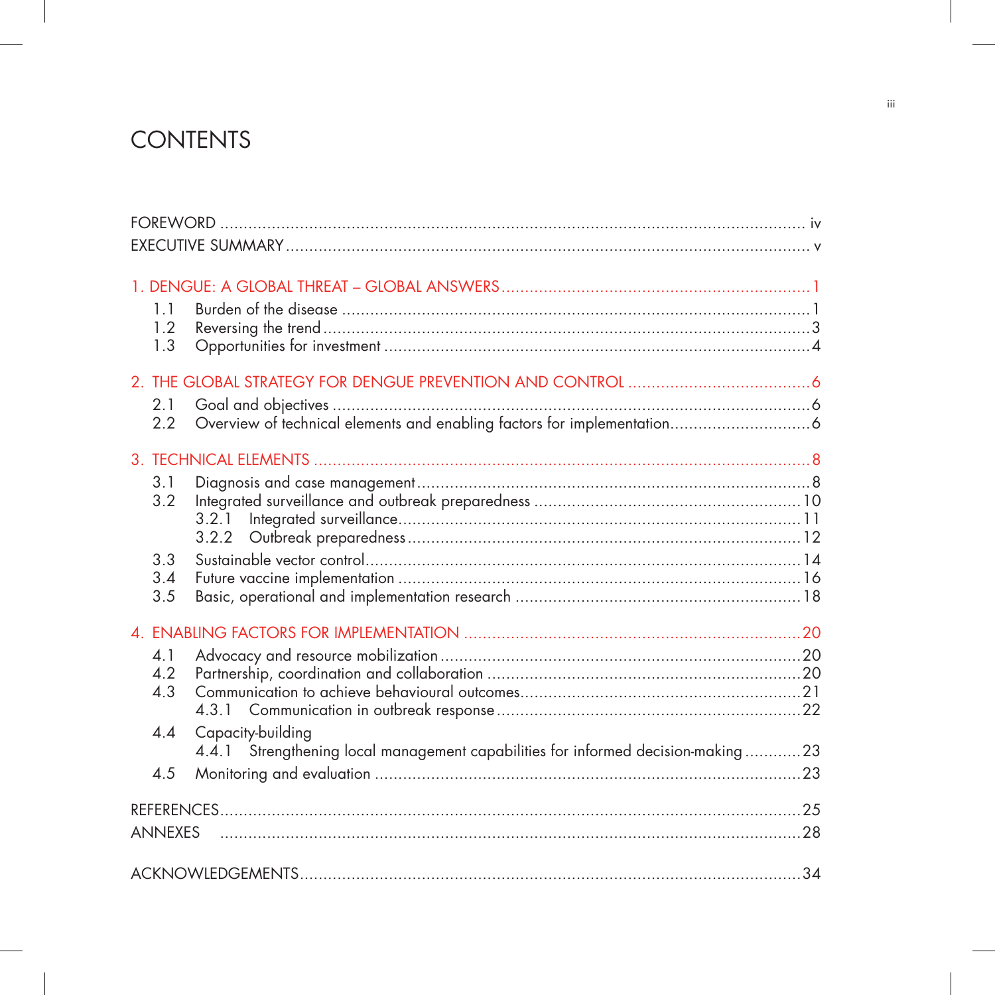# **CONTENTS**

|  | 1.1<br>1.2     |                                                                                                       |  |  |
|--|----------------|-------------------------------------------------------------------------------------------------------|--|--|
|  | 1.3            |                                                                                                       |  |  |
|  |                |                                                                                                       |  |  |
|  | 2.1            |                                                                                                       |  |  |
|  | 2.2            |                                                                                                       |  |  |
|  |                |                                                                                                       |  |  |
|  | 3.1            |                                                                                                       |  |  |
|  | 3.2            |                                                                                                       |  |  |
|  |                | 3.2.1                                                                                                 |  |  |
|  | 3.3            |                                                                                                       |  |  |
|  | 3.4            |                                                                                                       |  |  |
|  | 3.5            |                                                                                                       |  |  |
|  |                |                                                                                                       |  |  |
|  | 4.1            |                                                                                                       |  |  |
|  | 4.2            |                                                                                                       |  |  |
|  | 4.3            |                                                                                                       |  |  |
|  |                |                                                                                                       |  |  |
|  | 4.4            | Capacity-building<br>4.4.1 Strengthening local management capabilities for informed decision-making23 |  |  |
|  | 4.5            |                                                                                                       |  |  |
|  |                |                                                                                                       |  |  |
|  |                |                                                                                                       |  |  |
|  | <b>ANNEXES</b> |                                                                                                       |  |  |
|  |                |                                                                                                       |  |  |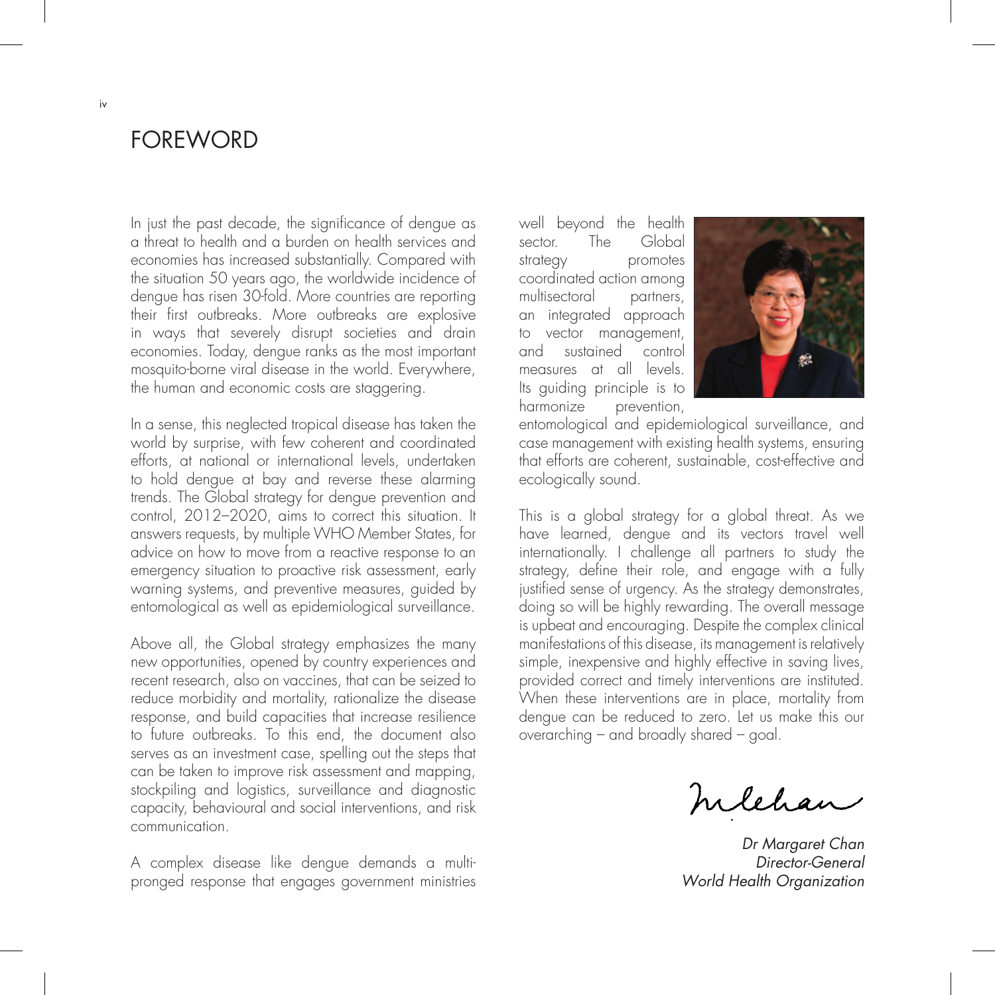## FOREWORD

In just the past decade, the significance of dengue as a threat to health and a burden on health services and economies has increased substantially. Compared with the situation 50 years ago, the worldwide incidence of dengue has risen 30-fold. More countries are reporting their first outbreaks. More outbreaks are explosive in ways that severely disrupt societies and drain economies. Today, dengue ranks as the most important mosquito-borne viral disease in the world. Everywhere, the human and economic costs are staggering.

In a sense, this neglected tropical disease has taken the world by surprise, with few coherent and coordinated efforts, at national or international levels, undertaken to hold dengue at bay and reverse these alarming trends. The Global strategy for dengue prevention and control, 2012–2020, aims to correct this situation. It answers requests, by multiple WHO Member States, for advice on how to move from a reactive response to an emergency situation to proactive risk assessment, early warning systems, and preventive measures, guided by entomological as well as epidemiological surveillance.

Above all, the Global strategy emphasizes the many new opportunities, opened by country experiences and recent research, also on vaccines, that can be seized to reduce morbidity and mortality, rationalize the disease response, and build capacities that increase resilience to future outbreaks. To this end, the document also serves as an investment case, spelling out the steps that can be taken to improve risk assessment and mapping, stockpiling and logistics, surveillance and diagnostic capacity, behavioural and social interventions, and risk communication.

A complex disease like dengue demands a multipronged response that engages government ministries well beyond the health sector. The Global strategy promotes coordinated action among multisectoral partners, an integrated approach to vector management, and sustained control measures at all levels. Its guiding principle is to harmonize prevention,



entomological and epidemiological surveillance, and case management with existing health systems, ensuring that efforts are coherent, sustainable, cost-effective and ecologically sound.

This is a global strategy for a global threat. As we have learned, dengue and its vectors travel well internationally. I challenge all partners to study the strategy, define their role, and engage with a fully justified sense of urgency. As the strategy demonstrates, doing so will be highly rewarding. The overall message is upbeat and encouraging. Despite the complex clinical manifestations of this disease, its management is relatively simple, inexpensive and highly effective in saving lives, provided correct and timely interventions are instituted. When these interventions are in place, mortality from dengue can be reduced to zero. Let us make this our overarching – and broadly shared – goal.

hilehan

Dr Margaret Chan Director-General World Health Organization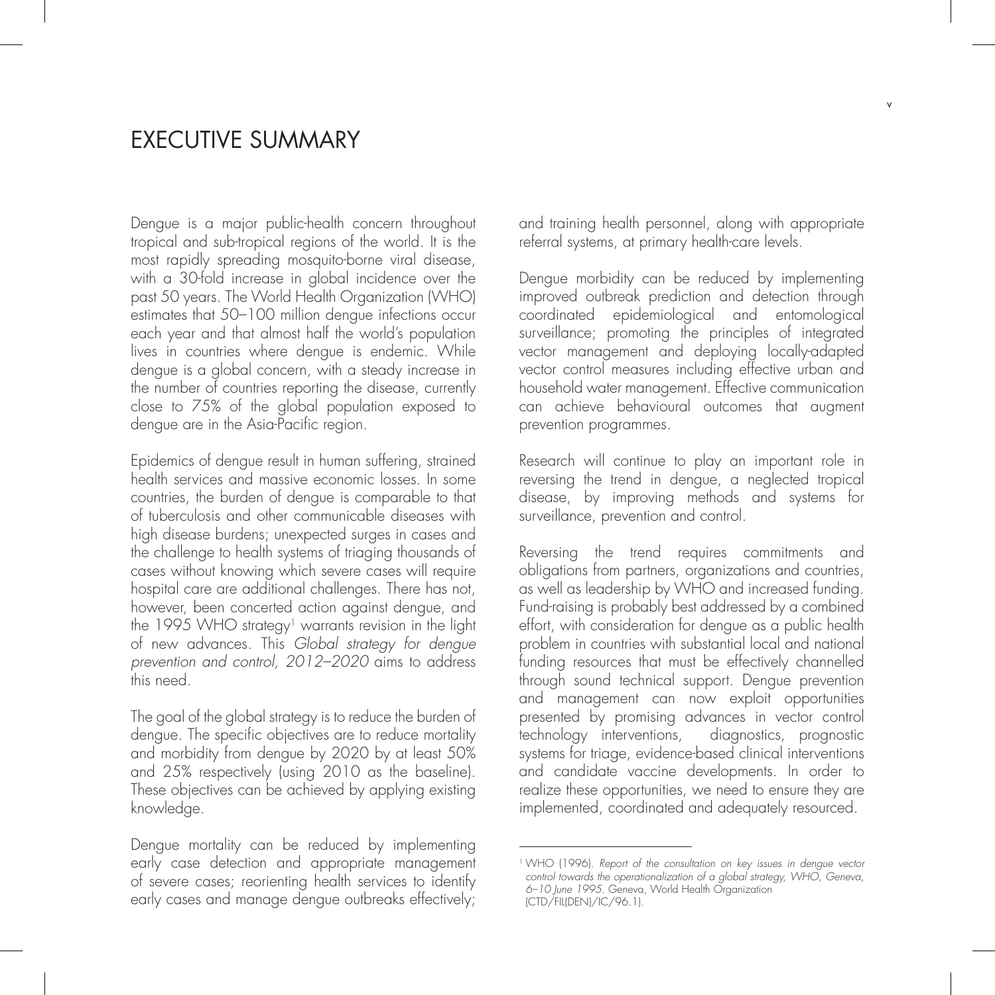## EXECUTIVE SUMMARY

Dengue is a major public-health concern throughout tropical and sub-tropical regions of the world. It is the most rapidly spreading mosquito-borne viral disease, with a 30-fold increase in global incidence over the past 50 years. The World Health Organization (WHO) estimates that 50–100 million dengue infections occur each year and that almost half the world's population lives in countries where dengue is endemic. While dengue is a global concern, with a steady increase in the number of countries reporting the disease, currently close to 75% of the global population exposed to dengue are in the Asia-Pacific region.

Epidemics of dengue result in human suffering, strained health services and massive economic losses. In some countries, the burden of dengue is comparable to that of tuberculosis and other communicable diseases with high disease burdens; unexpected surges in cases and the challenge to health systems of triaging thousands of cases without knowing which severe cases will require hospital care are additional challenges. There has not, however, been concerted action against dengue, and the 1995 WHO strategy<sup>1</sup> warrants revision in the light of new advances. This Global strategy for dengue prevention and control, 2012–2020 aims to address this need.

The goal of the global strategy is to reduce the burden of dengue. The specific objectives are to reduce mortality and morbidity from dengue by 2020 by at least 50% and 25% respectively (using 2010 as the baseline). These objectives can be achieved by applying existing knowledge.

Dengue mortality can be reduced by implementing early case detection and appropriate management of severe cases; reorienting health services to identify early cases and manage dengue outbreaks effectively;

and training health personnel, along with appropriate referral systems, at primary health-care levels.

Dengue morbidity can be reduced by implementing improved outbreak prediction and detection through coordinated epidemiological and entomological surveillance; promoting the principles of integrated vector management and deploying locally-adapted vector control measures including effective urban and household water management. Effective communication can achieve behavioural outcomes that augment prevention programmes.

Research will continue to play an important role in reversing the trend in dengue, a neglected tropical disease, by improving methods and systems for surveillance, prevention and control.

Reversing the trend requires commitments and obligations from partners, organizations and countries, as well as leadership by WHO and increased funding. Fund-raising is probably best addressed by a combined effort, with consideration for dengue as a public health problem in countries with substantial local and national funding resources that must be effectively channelled through sound technical support. Dengue prevention and management can now exploit opportunities presented by promising advances in vector control technology interventions, diagnostics, prognostic systems for triage, evidence-based clinical interventions and candidate vaccine developments. In order to realize these opportunities, we need to ensure they are implemented, coordinated and adequately resourced.

<sup>1</sup> WHO (1996). Report of the consultation on key issues in dengue vector control towards the operationalization of a global strategy, WHO, Geneva, 6–10 June 1995. Geneva, World Health Organization (CTD/FIL(DEN)/IC/96.1).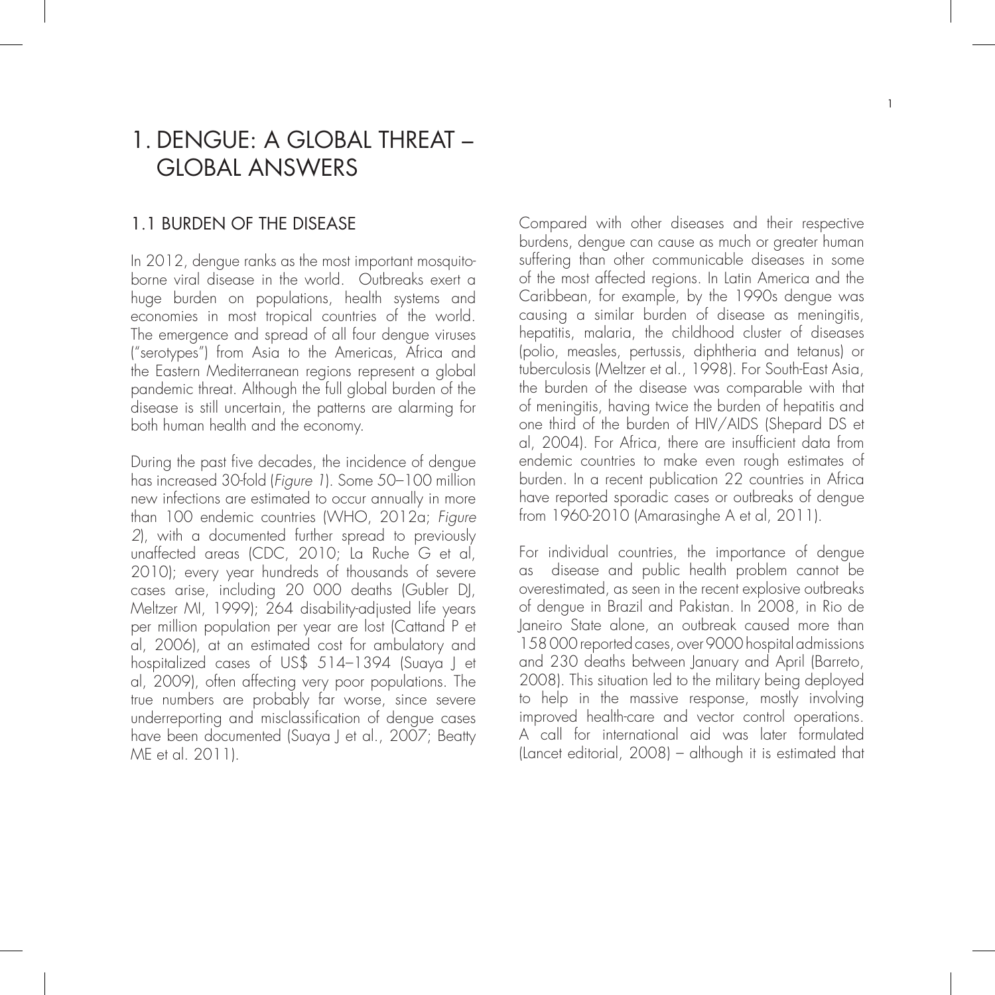# 1. DENGUE: A GLOBAL THREAT – GLOBAL ANSWERS

#### 1.1 BURDEN OF THE DISEASE

In 2012, dengue ranks as the most important mosquitoborne viral disease in the world. Outbreaks exert a huge burden on populations, health systems and economies in most tropical countries of the world. The emergence and spread of all four dengue viruses ("serotypes") from Asia to the Americas, Africa and the Eastern Mediterranean regions represent a global pandemic threat. Although the full global burden of the disease is still uncertain, the patterns are alarming for both human health and the economy.

During the past five decades, the incidence of dengue has increased 30-fold (Figure 1). Some 50-100 million new infections are estimated to occur annually in more than 100 endemic countries (WHO, 2012a; Figure 2), with a documented further spread to previously unaffected areas (CDC, 2010; La Ruche G et al, 2010); every year hundreds of thousands of severe cases arise, including 20 000 deaths (Gubler DJ, Meltzer MI, 1999); 264 disability-adjusted life years per million population per year are lost (Cattand P et al, 2006), at an estimated cost for ambulatory and hospitalized cases of US\$ 514–1394 (Suaya J et al, 2009), often affecting very poor populations. The true numbers are probably far worse, since severe underreporting and misclassification of dengue cases have been documented (Suaya J et al., 2007; Beatty ME et al. 2011).

Compared with other diseases and their respective burdens, dengue can cause as much or greater human suffering than other communicable diseases in some of the most affected regions. In Latin America and the Caribbean, for example, by the 1990s dengue was causing a similar burden of disease as meningitis, hepatitis, malaria, the childhood cluster of diseases (polio, measles, pertussis, diphtheria and tetanus) or tuberculosis (Meltzer et al., 1998). For South-East Asia, the burden of the disease was comparable with that of meningitis, having twice the burden of hepatitis and one third of the burden of HIV/AIDS (Shepard DS et al, 2004). For Africa, there are insufficient data from endemic countries to make even rough estimates of burden. In a recent publication 22 countries in Africa have reported sporadic cases or outbreaks of dengue from 1960-2010 (Amarasinghe A et al, 2011).

For individual countries, the importance of dengue as disease and public health problem cannot be overestimated, as seen in the recent explosive outbreaks of dengue in Brazil and Pakistan. In 2008, in Rio de Janeiro State alone, an outbreak caused more than 158 000 reported cases, over 9000 hospital admissions and 230 deaths between January and April (Barreto, 2008). This situation led to the military being deployed to help in the massive response, mostly involving improved health-care and vector control operations. A call for international aid was later formulated (Lancet editorial, 2008) – although it is estimated that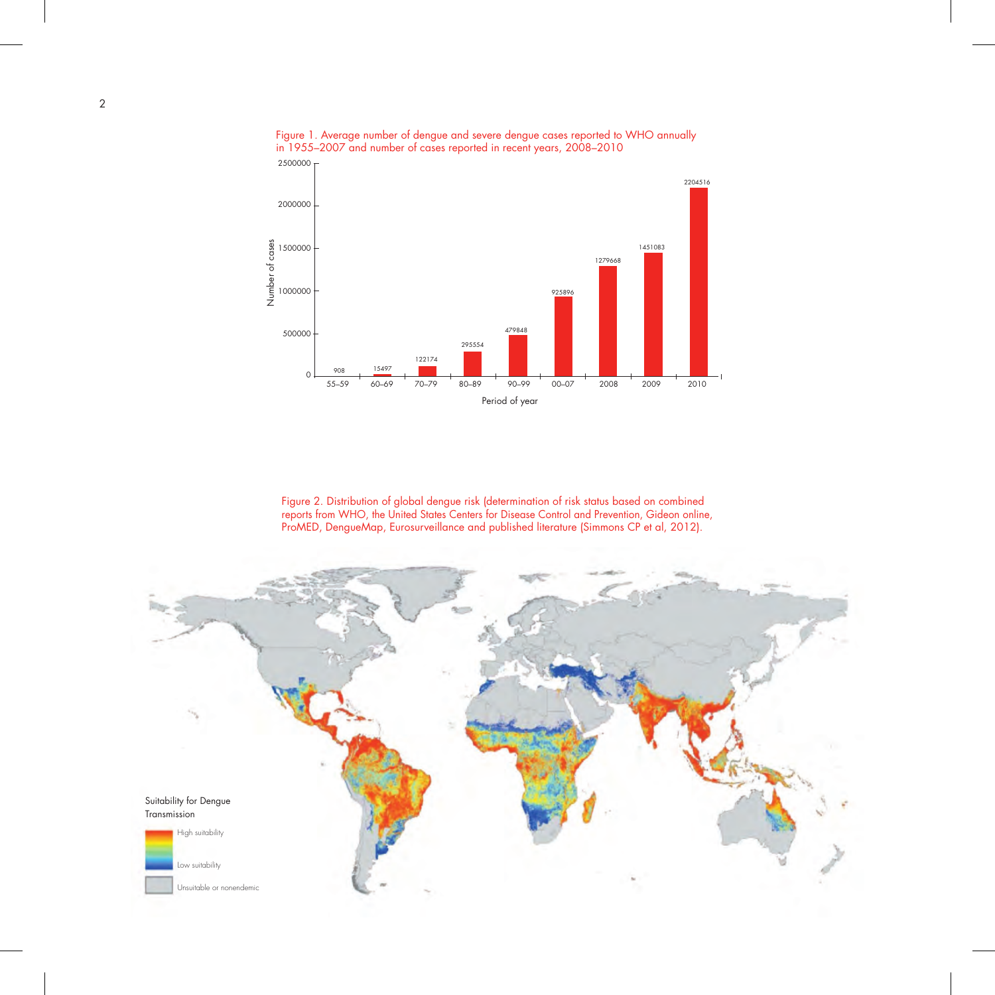

Figure 1. Average number of dengue and severe dengue cases reported to WHO annually in 1955–2007 and number of cases reported in recent years, 2008–2010

Figure 2. Distribution of global dengue risk (determination of risk status based on combined reports from WHO, the United States Centers for Disease Control and Prevention, Gideon online, ProMED, DengueMap, Eurosurveillance and published literature (Simmons CP et al, 2012).

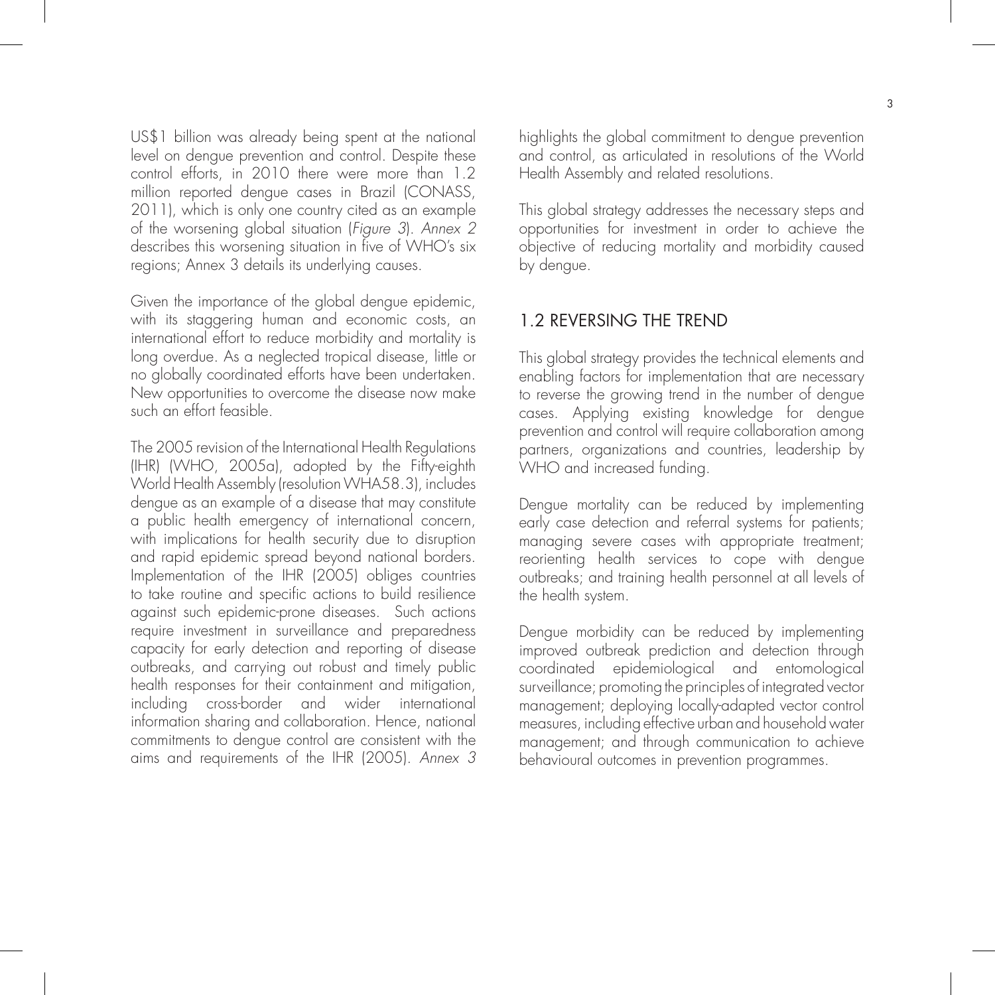US\$1 billion was already being spent at the national level on dengue prevention and control. Despite these control efforts, in 2010 there were more than 1.2 million reported dengue cases in Brazil (CONASS, 2011), which is only one country cited as an example of the worsening global situation (Figure 3). Annex 2 describes this worsening situation in five of WHO's six regions; Annex 3 details its underlying causes.

Given the importance of the global dengue epidemic, with its staggering human and economic costs, an international effort to reduce morbidity and mortality is long overdue. As a neglected tropical disease, little or no globally coordinated efforts have been undertaken. New opportunities to overcome the disease now make such an effort feasible.

The 2005 revision of the International Health Regulations (IHR) (WHO, 2005a), adopted by the Fifty-eighth World Health Assembly (resolution WHA58.3), includes dengue as an example of a disease that may constitute a public health emergency of international concern, with implications for health security due to disruption and rapid epidemic spread beyond national borders. Implementation of the IHR (2005) obliges countries to take routine and specific actions to build resilience against such epidemic-prone diseases. Such actions require investment in surveillance and preparedness capacity for early detection and reporting of disease outbreaks, and carrying out robust and timely public health responses for their containment and mitigation, including cross-border and wider international information sharing and collaboration. Hence, national commitments to dengue control are consistent with the aims and requirements of the IHR (2005). Annex 3

highlights the global commitment to dengue prevention and control, as articulated in resolutions of the World Health Assembly and related resolutions.

This global strategy addresses the necessary steps and opportunities for investment in order to achieve the objective of reducing mortality and morbidity caused by dengue.

#### 1.2 REVERSING THE TREND

This global strategy provides the technical elements and enabling factors for implementation that are necessary to reverse the growing trend in the number of dengue cases. Applying existing knowledge for dengue prevention and control will require collaboration among partners, organizations and countries, leadership by WHO and increased funding.

Dengue mortality can be reduced by implementing early case detection and referral systems for patients; managing severe cases with appropriate treatment; reorienting health services to cope with dengue outbreaks; and training health personnel at all levels of the health system.

Dengue morbidity can be reduced by implementing improved outbreak prediction and detection through coordinated epidemiological and entomological surveillance; promoting the principles of integrated vector management; deploying locally-adapted vector control measures, including effective urban and household water management; and through communication to achieve behavioural outcomes in prevention programmes.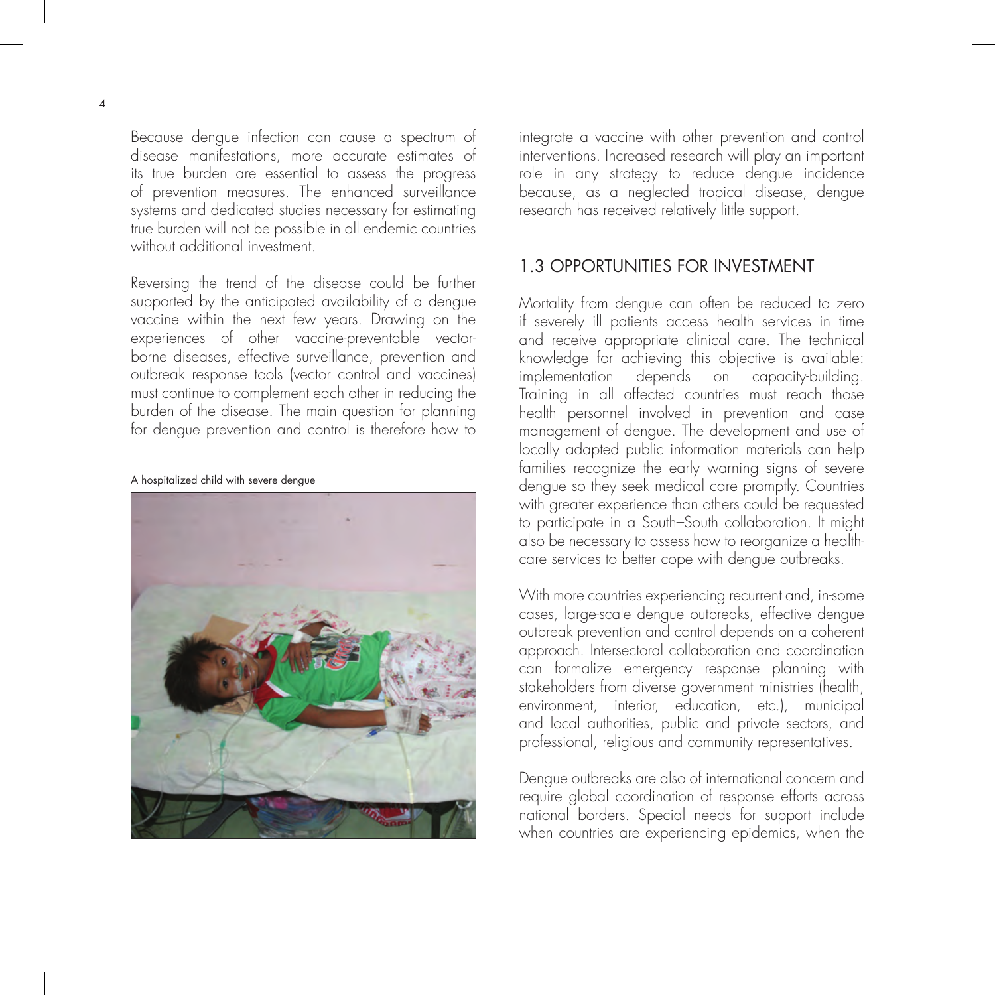Because dengue infection can cause a spectrum of disease manifestations, more accurate estimates of its true burden are essential to assess the progress of prevention measures. The enhanced surveillance systems and dedicated studies necessary for estimating true burden will not be possible in all endemic countries without additional investment.

Reversing the trend of the disease could be further supported by the anticipated availability of a dengue vaccine within the next few years. Drawing on the experiences of other vaccine-preventable vectorborne diseases, effective surveillance, prevention and outbreak response tools (vector control and vaccines) must continue to complement each other in reducing the burden of the disease. The main question for planning for dengue prevention and control is therefore how to

A hospitalized child with severe dengue



integrate a vaccine with other prevention and control interventions. Increased research will play an important role in any strategy to reduce dengue incidence because, as a neglected tropical disease, dengue research has received relatively little support.

### 1.3 OPPORTUNITIES FOR INVESTMENT

Mortality from dengue can often be reduced to zero if severely ill patients access health services in time and receive appropriate clinical care. The technical knowledge for achieving this objective is available: implementation depends on capacity-building. Training in all affected countries must reach those health personnel involved in prevention and case management of dengue. The development and use of locally adapted public information materials can help families recognize the early warning signs of severe dengue so they seek medical care promptly. Countries with greater experience than others could be requested to participate in a South–South collaboration. It might also be necessary to assess how to reorganize a healthcare services to better cope with dengue outbreaks.

With more countries experiencing recurrent and, in-some cases, large-scale dengue outbreaks, effective dengue outbreak prevention and control depends on a coherent approach. Intersectoral collaboration and coordination can formalize emergency response planning with stakeholders from diverse government ministries (health, environment, interior, education, etc.), municipal and local authorities, public and private sectors, and professional, religious and community representatives.

Dengue outbreaks are also of international concern and require global coordination of response efforts across national borders. Special needs for support include when countries are experiencing epidemics, when the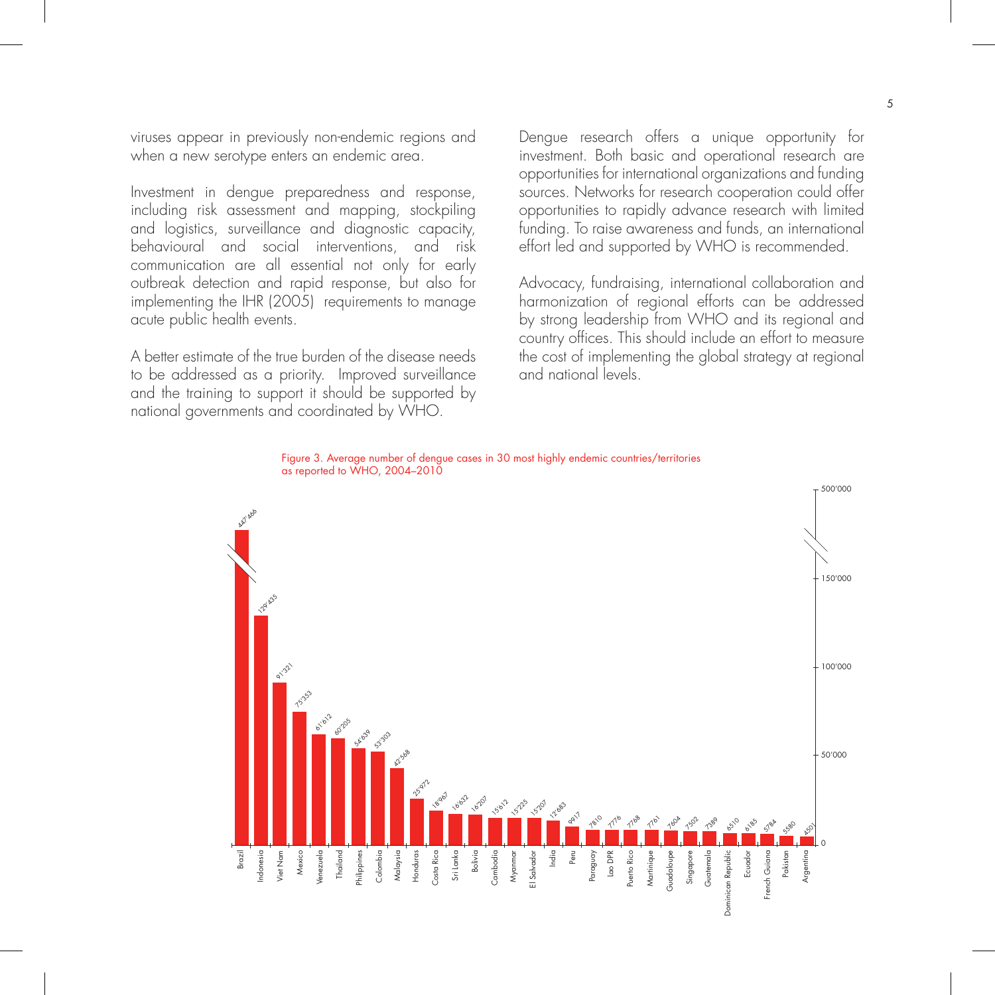viruses appear in previously non-endemic regions and when a new serotype enters an endemic area.

Investment in dengue preparedness and response, including risk assessment and mapping, stockpiling and logistics, surveillance and diagnostic capacity, behavioural and social interventions, and risk communication are all essential not only for early outbreak detection and rapid response, but also for implementing the IHR (2005) requirements to manage acute public health events.

A better estimate of the true burden of the disease needs to be addressed as a priority. Improved surveillance and the training to support it should be supported by national governments and coordinated by WHO.

Dengue research offers a unique opportunity for investment. Both basic and operational research are opportunities for international organizations and funding sources. Networks for research cooperation could offer opportunities to rapidly advance research with limited funding. To raise awareness and funds, an international effort led and supported by WHO is recommended.

Advocacy, fundraising, international collaboration and harmonization of regional efforts can be addressed by strong leadership from WHO and its regional and country offices. This should include an effort to measure the cost of implementing the global strategy at regional and national levels.



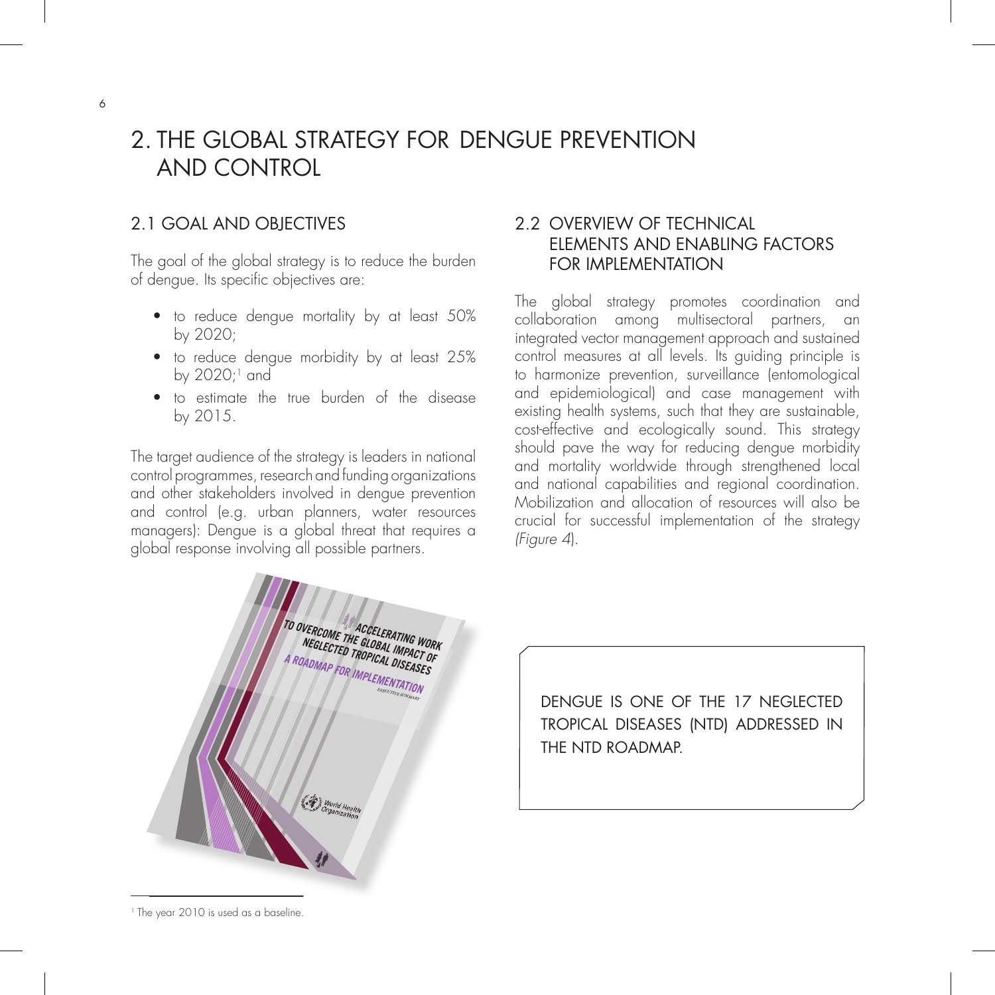# 2. THE GLOBAL STRATEGY FOR DENGUE PREVENTION AND CONTROL

## 2.1 GOAL AND OBJECTIVES

The goal of the global strategy is to reduce the burden of dengue. Its specific objectives are:

- to reduce dengue mortality by at least 50% by 2020;
- $\bullet$  to reduce dengue morbidity by at least 25% by  $2020;1$  and
- $\bullet$  to estimate the true burden of the disease by 2015.

The target audience of the strategy is leaders in national control programmes, research and funding organizations and other stakeholders involved in dengue prevention and control (e.g. urban planners, water resources managers): Dengue is a global threat that requires a global response involving all possible partners.

## 2.2 OVERVIEW OF TECHNICAL ELEMENTS AND ENABLING FACTORS FOR IMPLEMENTATION

The global strategy promotes coordination and collaboration among multisectoral partners, an integrated vector management approach and sustained control measures at all levels. Its guiding principle is to harmonize prevention, surveillance (entomological and epidemiological) and case management with existing health systems, such that they are sustainable, cost-effective and ecologically sound. This strategy should pave the way for reducing dengue morbidity and mortality worldwide through strengthened local and national capabilities and regional coordination. Mobilization and allocation of resources will also be crucial for successful implementation of the strategy (Figure 4).



DENGUE IS ONE OF THE 17 NEGLECTED TROPICAL DISEASES (NTD) ADDRESSED IN THE NTD ROADMAP.

<sup>1</sup> The year 2010 is used as a baseline.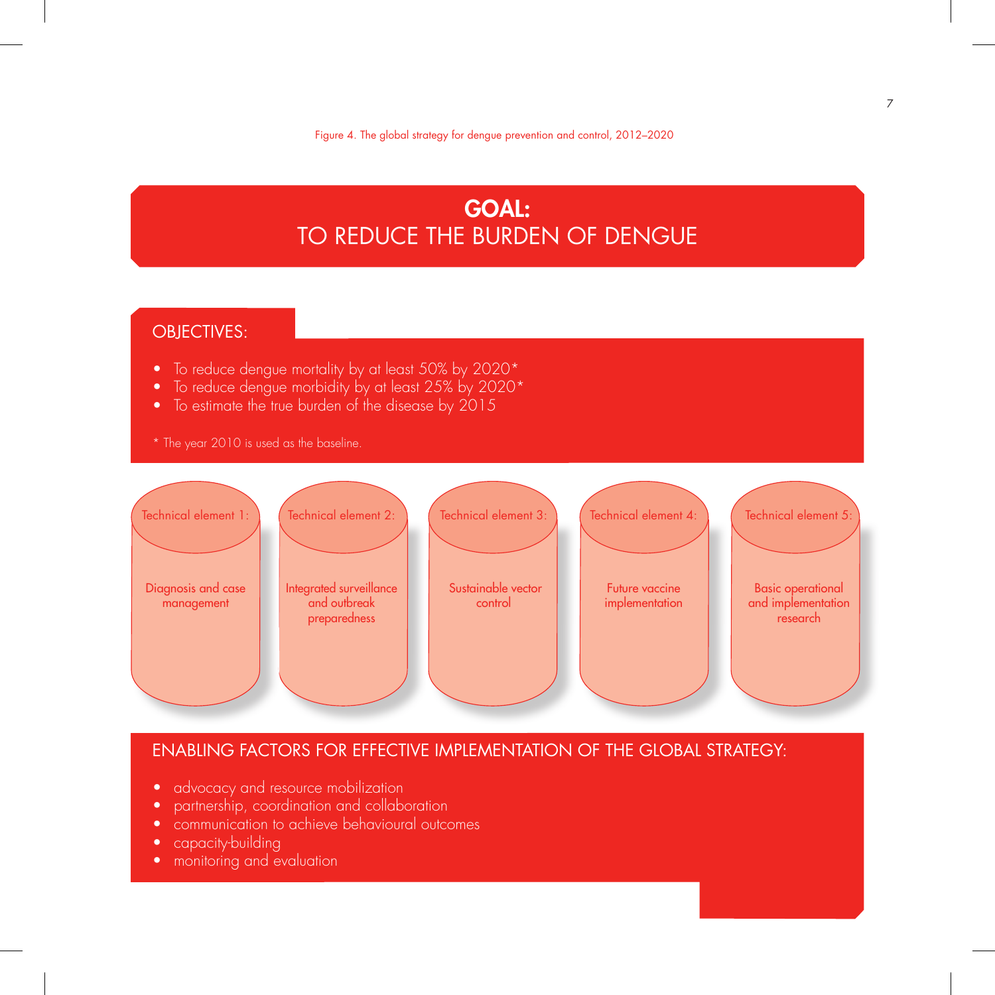# **GOAL:** TO REDUCE THE BURDEN OF DENGUE

## OBJECTIVES:

- $\bullet$  To reduce dengue mortality by at least 50% by 2020\*
- To reduce dengue morbidity by at least 25% by 2020\*
- $\bullet$  To estimate the true burden of the disease by 2015
- \* The year 2010 is used as the baseline.



### ENABLING FACTORS FOR EFFECTIVE IMPLEMENTATION OF THE GLOBAL STRATEGY:

- advocacy and resource mobilization
- partnership, coordination and collaboration
- communication to achieve behavioural outcomes
- capacity-building
- monitoring and evaluation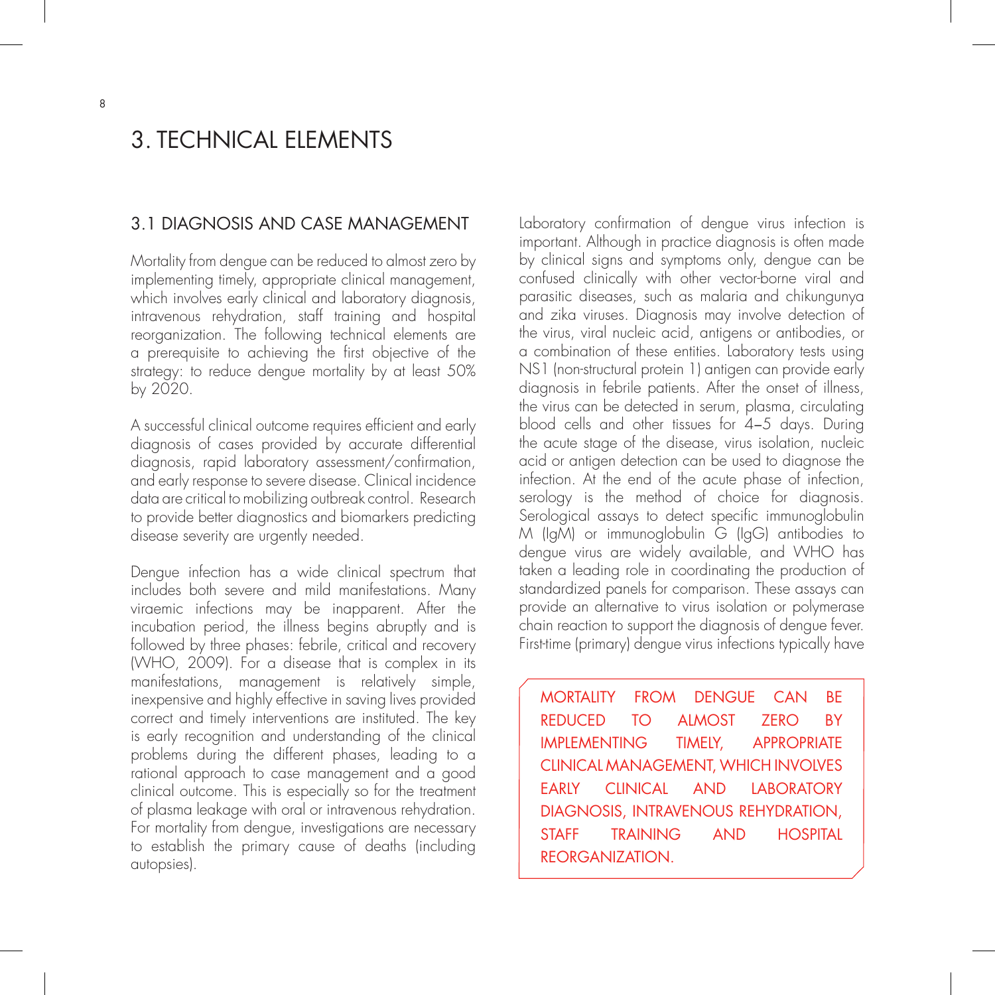# 3. TECHNICAL ELEMENTS

#### 3.1 DIAGNOSIS AND CASE MANAGEMENT

Mortality from dengue can be reduced to almost zero by implementing timely, appropriate clinical management, which involves early clinical and laboratory diagnosis, intravenous rehydration, staff training and hospital reorganization. The following technical elements are a prerequisite to achieving the first objective of the strategy: to reduce dengue mortality by at least 50% by 2020.

A successful clinical outcome requires efficient and early diagnosis of cases provided by accurate differential diagnosis, rapid laboratory assessment/confirmation, and early response to severe disease. Clinical incidence data are critical to mobilizing outbreak control. Research to provide better diagnostics and biomarkers predicting disease severity are urgently needed.

Dengue infection has a wide clinical spectrum that includes both severe and mild manifestations. Many viraemic infections may be inapparent. After the incubation period, the illness begins abruptly and is followed by three phases: febrile, critical and recovery (WHO, 2009). For a disease that is complex in its manifestations, management is relatively simple, inexpensive and highly effective in saving lives provided correct and timely interventions are instituted. The key is early recognition and understanding of the clinical problems during the different phases, leading to a rational approach to case management and a good clinical outcome. This is especially so for the treatment of plasma leakage with oral or intravenous rehydration. For mortality from dengue, investigations are necessary to establish the primary cause of deaths (including autopsies).

Laboratory confirmation of dengue virus infection is important. Although in practice diagnosis is often made by clinical signs and symptoms only, dengue can be confused clinically with other vector-borne viral and parasitic diseases, such as malaria and chikungunya and zika viruses. Diagnosis may involve detection of the virus, viral nucleic acid, antigens or antibodies, or a combination of these entities. Laboratory tests using NS1 (non-structural protein 1) antigen can provide early diagnosis in febrile patients. After the onset of illness, the virus can be detected in serum, plasma, circulating blood cells and other tissues for 4-5 days. During the acute stage of the disease, virus isolation, nucleic acid or antigen detection can be used to diagnose the infection. At the end of the acute phase of infection, serology is the method of choice for diagnosis. Serological assays to detect specific immunoglobulin M (IgM) or immunoglobulin G (IgG) antibodies to dengue virus are widely available, and WHO has taken a leading role in coordinating the production of standardized panels for comparison. These assays can provide an alternative to virus isolation or polymerase chain reaction to support the diagnosis of dengue fever. First-time (primary) dengue virus infections typically have

MORTALITY FROM DENGUE CAN BE REDUCED TO ALMOST ZERO BY IMPLEMENTING TIMELY, APPROPRIATE CLINICAL MANAGEMENT, WHICH INVOLVES EARLY CLINICAL AND LABORATORY DIAGNOSIS, INTRAVENOUS REHYDRATION, STAFF TRAINING AND HOSPITAL REORGANIZATION.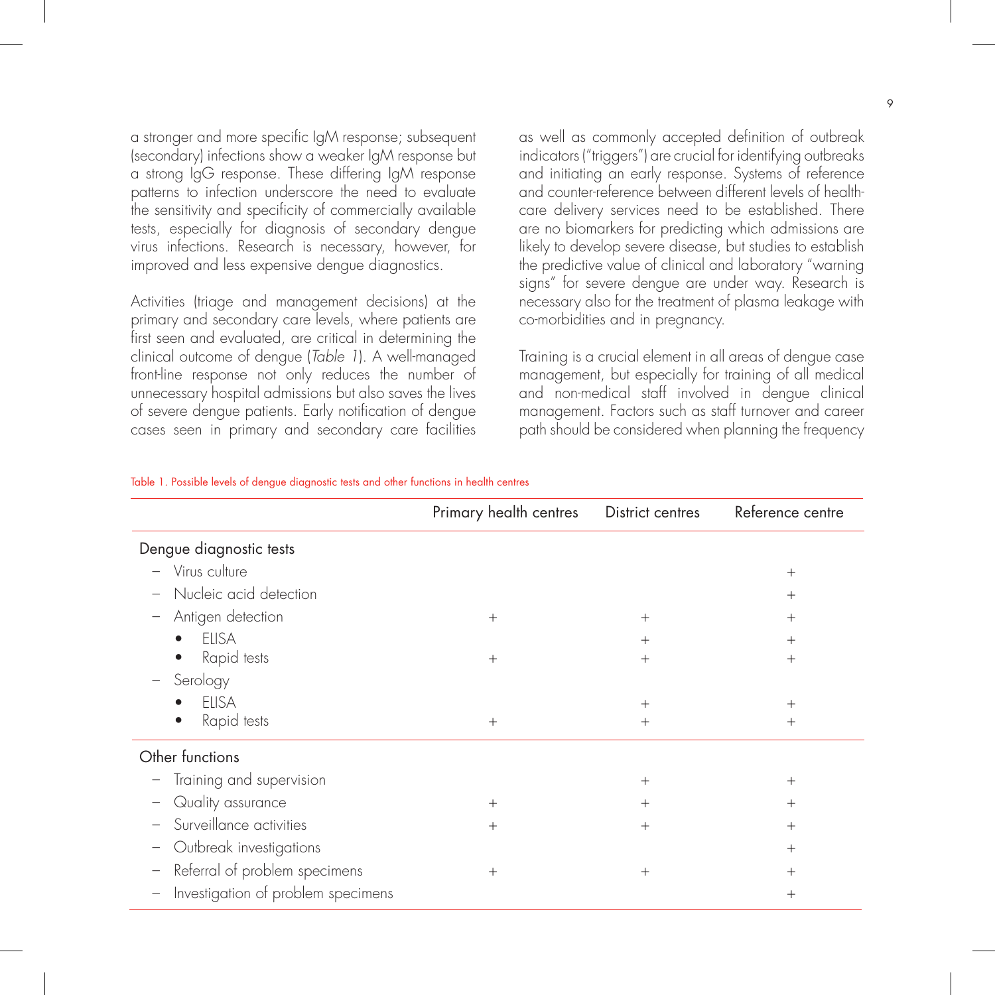a stronger and more specific IgM response; subsequent (secondary) infections show a weaker IgM response but a strong IgG response. These differing IgM response patterns to infection underscore the need to evaluate the sensitivity and specificity of commercially available tests, especially for diagnosis of secondary dengue virus infections. Research is necessary, however, for improved and less expensive dengue diagnostics.

Activities (triage and management decisions) at the primary and secondary care levels, where patients are first seen and evaluated, are critical in determining the clinical outcome of dengue (Table 1). A well-managed front-line response not only reduces the number of unnecessary hospital admissions but also saves the lives of severe dengue patients. Early notification of dengue cases seen in primary and secondary care facilities as well as commonly accepted definition of outbreak indicators ("triggers") are crucial for identifying outbreaks and initiating an early response. Systems of reference and counter-reference between different levels of healthcare delivery services need to be established. There are no biomarkers for predicting which admissions are likely to develop severe disease, but studies to establish the predictive value of clinical and laboratory "warning signs" for severe dengue are under way. Research is necessary also for the treatment of plasma leakage with co-morbidities and in pregnancy.

Training is a crucial element in all areas of dengue case management, but especially for training of all medical and non-medical staff involved in dengue clinical management. Factors such as staff turnover and career path should be considered when planning the frequency

|                                                      | Primary health centres | District centres | Reference centre |
|------------------------------------------------------|------------------------|------------------|------------------|
| Dengue diagnostic tests                              |                        |                  |                  |
| Virus culture<br>$\overline{\phantom{0}}$            |                        |                  | $^{+}$           |
| Nucleic acid detection                               |                        |                  | $^+$             |
| Antigen detection<br>$\overline{\phantom{0}}$        | $^{+}$                 | $^{+}$           | $^+$             |
| <b>ELISA</b>                                         |                        | $+$              | $^{+}$           |
| Rapid tests                                          | $^{+}$                 | $^{+}$           | $^+$             |
| Serology                                             |                        |                  |                  |
| <b>ELISA</b>                                         |                        | $^{+}$           | $^{+}$           |
| Rapid tests                                          | $+$                    | $^{+}$           | $^{+}$           |
| Other functions                                      |                        |                  |                  |
| Training and supervision<br>$\overline{\phantom{a}}$ |                        | $^{+}$           | $^{+}$           |
| Quality assurance                                    | $^{+}$                 | $^{+}$           | $^{+}$           |
| Surveillance activities                              | $^{+}$                 | $+$              | $^{+}$           |
| Outbreak investigations<br>$\overline{\phantom{0}}$  |                        |                  | $^{+}$           |
| Referral of problem specimens<br>$\qquad \qquad -$   | $+$                    | $^{+}$           | $^{+}$           |
| Investigation of problem specimens<br>—              |                        |                  | $^{+}$           |

#### Table 1. Possible levels of dengue diagnostic tests and other functions in health centres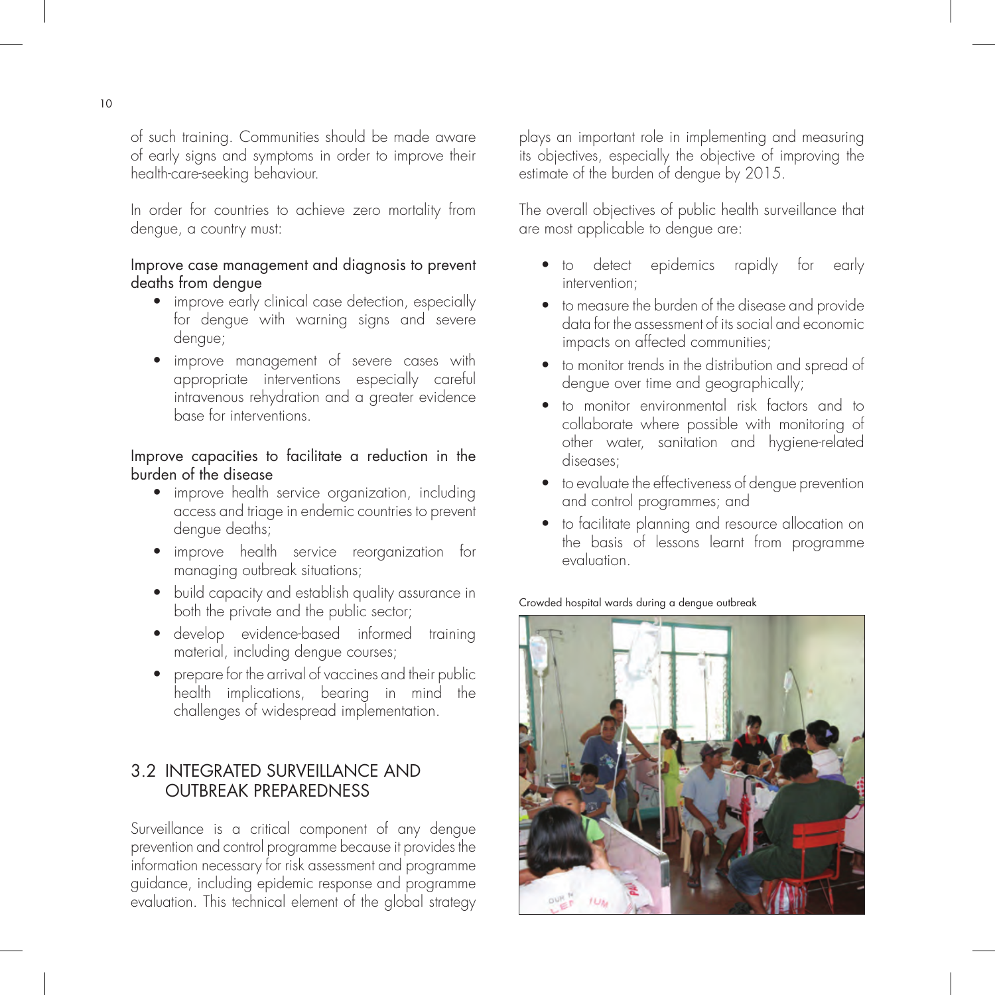of such training. Communities should be made aware of early signs and symptoms in order to improve their health-care-seeking behaviour.

In order for countries to achieve zero mortality from dengue, a country must:

#### Improve case management and diagnosis to prevent deaths from dengue

- improve early clinical case detection, especially for dengue with warning signs and severe dengue;
- improve management of severe cases with appropriate interventions especially careful intravenous rehydration and a greater evidence base for interventions.

#### Improve capacities to facilitate a reduction in the burden of the disease

- improve health service organization, including access and triage in endemic countries to prevent dengue deaths;
- improve health service reorganization for managing outbreak situations;
- build capacity and establish quality assurance in both the private and the public sector;
- develop evidence-based informed training material, including dengue courses;
- $\bullet$  prepare for the arrival of vaccines and their public health implications, bearing in mind the challenges of widespread implementation.

## 3.2 INTEGRATED SURVEILLANCE AND OUTBREAK PREPAREDNESS

Surveillance is a critical component of any dengue prevention and control programme because it provides the information necessary for risk assessment and programme guidance, including epidemic response and programme evaluation. This technical element of the global strategy plays an important role in implementing and measuring its objectives, especially the objective of improving the estimate of the burden of dengue by 2015.

The overall objectives of public health surveillance that are most applicable to dengue are:

- to detect epidemics rapidly for early intervention;
- to measure the burden of the disease and provide data for the assessment of its social and economic impacts on affected communities;
- to monitor trends in the distribution and spread of dengue over time and geographically;
- to monitor environmental risk factors and to collaborate where possible with monitoring of other water, sanitation and hygiene-related diseases;
- $\bullet$  to evaluate the effectiveness of dengue prevention and control programmes; and
- to facilitate planning and resource allocation on the basis of lessons learnt from programme evaluation.

Crowded hospital wards during a dengue outbreak

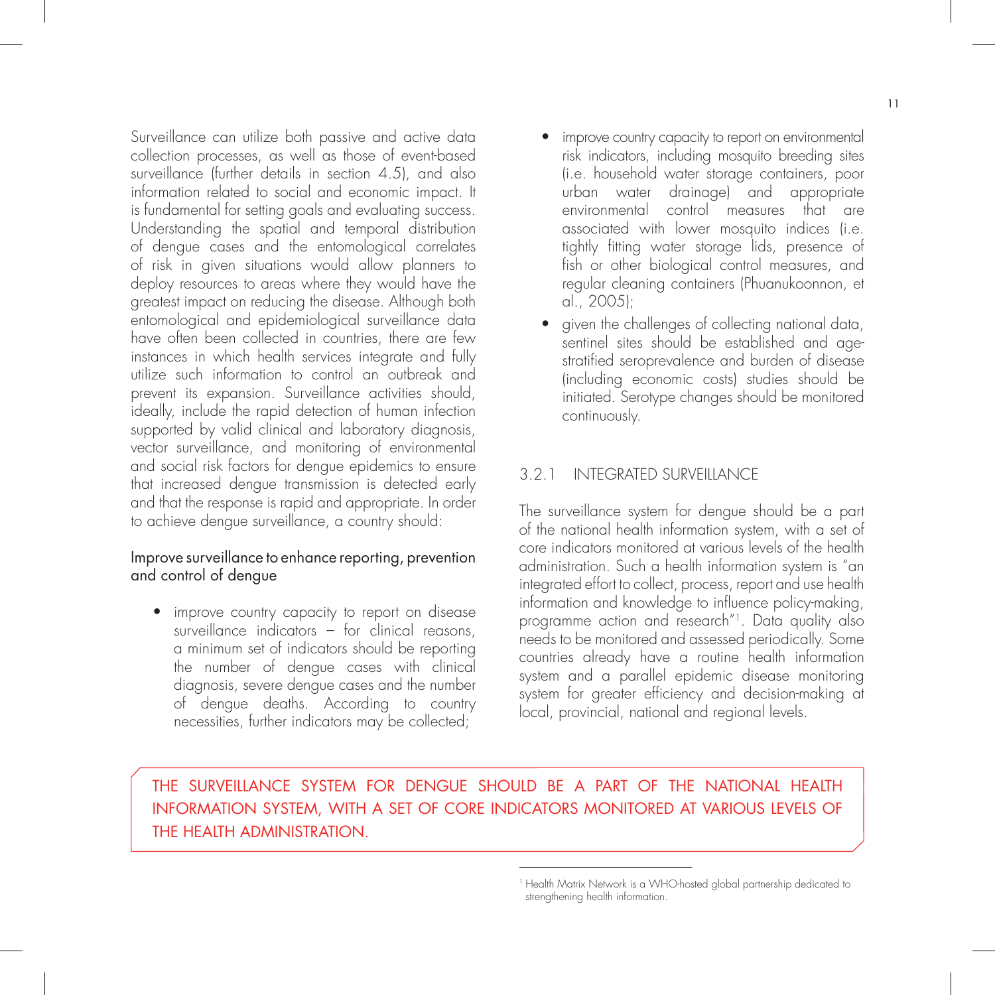Surveillance can utilize both passive and active data collection processes, as well as those of event-based surveillance (further details in section 4.5), and also information related to social and economic impact. It is fundamental for setting goals and evaluating success. Understanding the spatial and temporal distribution of dengue cases and the entomological correlates of risk in given situations would allow planners to deploy resources to areas where they would have the greatest impact on reducing the disease. Although both entomological and epidemiological surveillance data have often been collected in countries, there are few instances in which health services integrate and fully utilize such information to control an outbreak and prevent its expansion. Surveillance activities should, ideally, include the rapid detection of human infection supported by valid clinical and laboratory diagnosis, vector surveillance, and monitoring of environmental and social risk factors for dengue epidemics to ensure that increased dengue transmission is detected early and that the response is rapid and appropriate. In order to achieve dengue surveillance, a country should:

#### Improve surveillance to enhance reporting, prevention and control of dengue

• improve country capacity to report on disease surveillance indicators – for clinical reasons, a minimum set of indicators should be reporting the number of dengue cases with clinical diagnosis, severe dengue cases and the number of dengue deaths. According to country necessities, further indicators may be collected;

- improve country capacity to report on environmental risk indicators, including mosquito breeding sites (i.e. household water storage containers, poor urban water drainage) and appropriate environmental control measures that are associated with lower mosquito indices (i.e. tightly fitting water storage lids, presence of fish or other biological control measures, and regular cleaning containers (Phuanukoonnon, et al., 2005);
- given the challenges of collecting national data, sentinel sites should be established and age stratified seroprevalence and burden of disease (including economic costs) studies should be initiated. Serotype changes should be monitored continuously.

#### 3.2.1 INTEGRATED SURVEILLANCE

The surveillance system for dengue should be a part of the national health information system, with a set of core indicators monitored at various levels of the health administration. Such a health information system is "an integrated effort to collect, process, report and use health information and knowledge to influence policy-making, programme action and research"1. Data quality also needs to be monitored and assessed periodically. Some countries already have a routine health information system and a parallel epidemic disease monitoring system for greater efficiency and decision-making at local, provincial, national and regional levels.

## THE SURVEILLANCE SYSTEM FOR DENGUE SHOULD BE A PART OF THE NATIONAL HEALTH INFORMATION SYSTEM, WITH A SET OF CORE INDICATORS MONITORED AT VARIOUS LEVELS OF THE HEALTH ADMINISTRATION.

<sup>&</sup>lt;sup>1</sup> Health Matrix Network is a WHO-hosted global partnership dedicated to strengthening health information.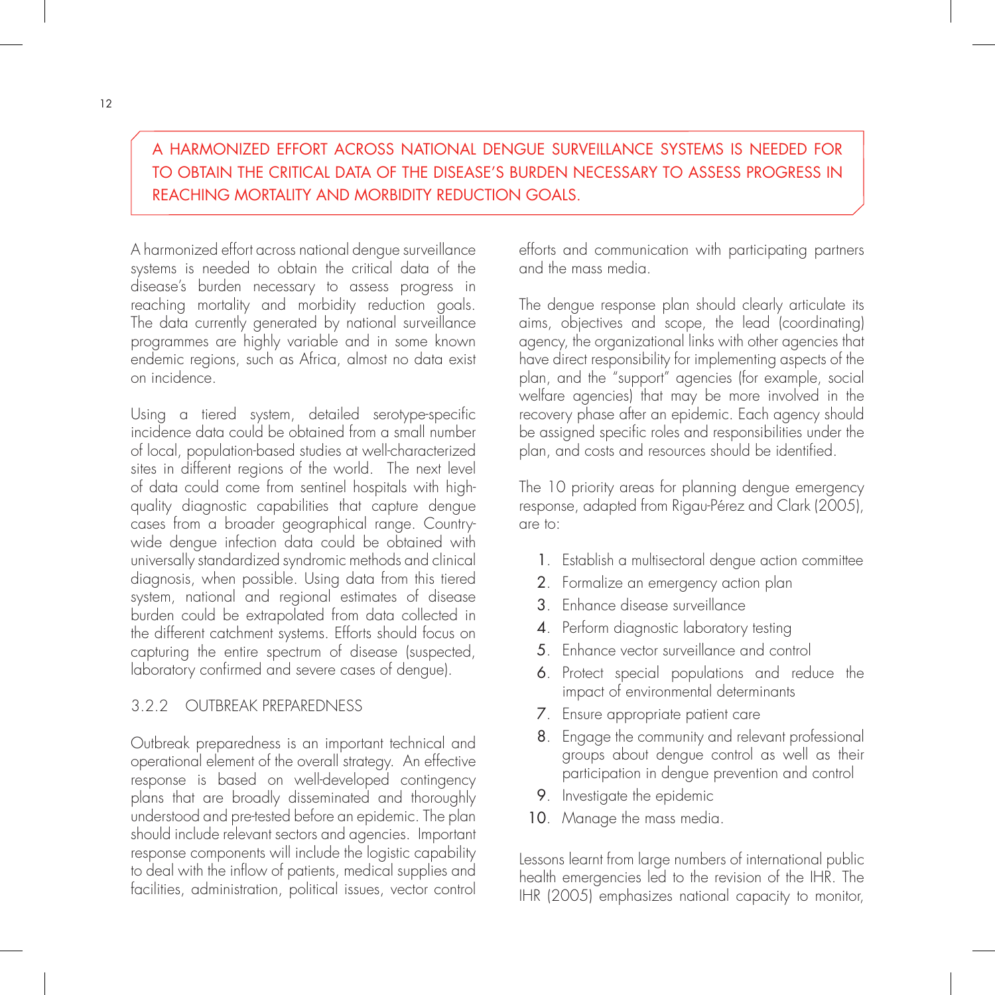A HARMONIZED EFFORT ACROSS NATIONAL DENGUE SURVEILLANCE SYSTEMS IS NEEDED FOR TO OBTAIN THE CRITICAL DATA OF THE DISEASE'S BURDEN NECESSARY TO ASSESS PROGRESS IN REACHING MORTALITY AND MORBIDITY REDUCTION GOALS.

A harmonized effort across national dengue surveillance systems is needed to obtain the critical data of the disease's burden necessary to assess progress in reaching mortality and morbidity reduction goals. The data currently generated by national surveillance programmes are highly variable and in some known endemic regions, such as Africa, almost no data exist on incidence.

Using a tiered system, detailed serotype-specific incidence data could be obtained from a small number of local, population-based studies at well-characterized sites in different regions of the world. The next level of data could come from sentinel hospitals with highquality diagnostic capabilities that capture dengue cases from a broader geographical range. Countrywide dengue infection data could be obtained with universally standardized syndromic methods and clinical diagnosis, when possible. Using data from this tiered system, national and regional estimates of disease burden could be extrapolated from data collected in the different catchment systems. Efforts should focus on capturing the entire spectrum of disease (suspected, laboratory confirmed and severe cases of dengue).

#### 3.2.2 OUTBREAK PREPAREDNESS

Outbreak preparedness is an important technical and operational element of the overall strategy. An effective response is based on well-developed contingency plans that are broadly disseminated and thoroughly understood and pre-tested before an epidemic. The plan should include relevant sectors and agencies. Important response components will include the logistic capability to deal with the inflow of patients, medical supplies and facilities, administration, political issues, vector control efforts and communication with participating partners and the mass media.

The dengue response plan should clearly articulate its aims, objectives and scope, the lead (coordinating) agency, the organizational links with other agencies that have direct responsibility for implementing aspects of the plan, and the "support" agencies (for example, social welfare agencies) that may be more involved in the recovery phase after an epidemic. Each agency should be assigned specific roles and responsibilities under the plan, and costs and resources should be identified.

The 10 priority areas for planning dengue emergency response, adapted from Rigau-Pérez and Clark (2005), are to:

- 1. Establish a multisectoral dengue action committee
- 2. Formalize an emergency action plan
- 3. Enhance disease surveillance
- 4. Perform diagnostic laboratory testing
- 5. Enhance vector surveillance and control
- 6. Protect special populations and reduce the impact of environmental determinants
- 7. Ensure appropriate patient care
- 8. Engage the community and relevant professional groups about dengue control as well as their participation in dengue prevention and control
- 9. Investigate the epidemic
- 10. Manage the mass media.

Lessons learnt from large numbers of international public health emergencies led to the revision of the IHR. The IHR (2005) emphasizes national capacity to monitor,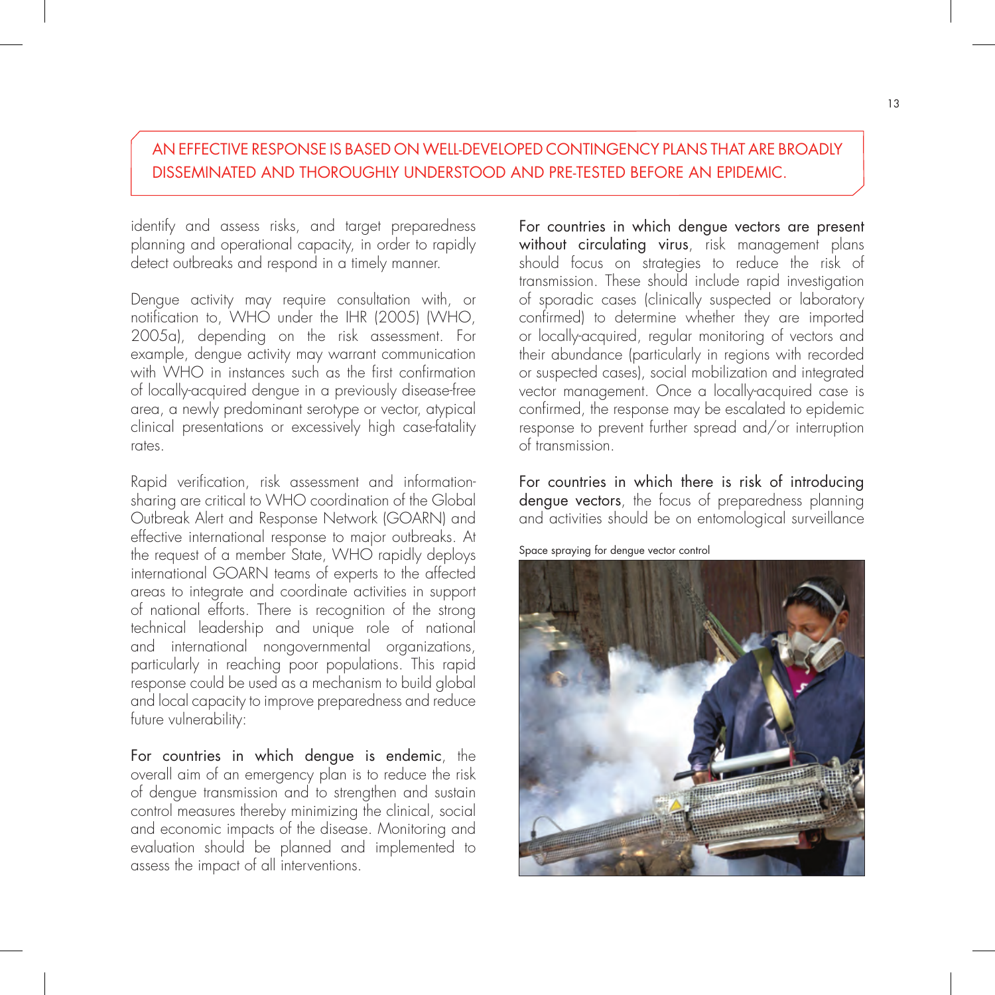## AN EFFECTIVE RESPONSE IS BASED ON WELL-DEVELOPED CONTINGENCY PLANS THAT ARE BROADLY DISSEMINATED AND THOROUGHLY UNDERSTOOD AND PRE-TESTED BEFORE AN EPIDEMIC.

identify and assess risks, and target preparedness planning and operational capacity, in order to rapidly detect outbreaks and respond in a timely manner.

Dengue activity may require consultation with, or notification to, WHO under the IHR (2005) (WHO, 2005a), depending on the risk assessment. For example, dengue activity may warrant communication with WHO in instances such as the first confirmation of locally-acquired dengue in a previously disease-free area, a newly predominant serotype or vector, atypical clinical presentations or excessively high case-fatality rates.

Rapid verification, risk assessment and informationsharing are critical to WHO coordination of the Global Outbreak Alert and Response Network (GOARN) and effective international response to major outbreaks. At the request of a member State, WHO rapidly deploys international GOARN teams of experts to the affected areas to integrate and coordinate activities in support of national efforts. There is recognition of the strong technical leadership and unique role of national and international nongovernmental organizations, particularly in reaching poor populations. This rapid response could be used as a mechanism to build global and local capacity to improve preparedness and reduce future vulnerability:

For countries in which dengue is endemic, the overall aim of an emergency plan is to reduce the risk of dengue transmission and to strengthen and sustain control measures thereby minimizing the clinical, social and economic impacts of the disease. Monitoring and evaluation should be planned and implemented to assess the impact of all interventions.

For countries in which dengue vectors are present without circulating virus, risk management plans should focus on strategies to reduce the risk of transmission. These should include rapid investigation of sporadic cases (clinically suspected or laboratory confirmed) to determine whether they are imported or locally-acquired, regular monitoring of vectors and their abundance (particularly in regions with recorded or suspected cases), social mobilization and integrated vector management. Once a locally-acquired case is confirmed, the response may be escalated to epidemic response to prevent further spread and/or interruption of transmission.

For countries in which there is risk of introducing dengue vectors, the focus of preparedness planning and activities should be on entomological surveillance

Space spraying for dengue vector control

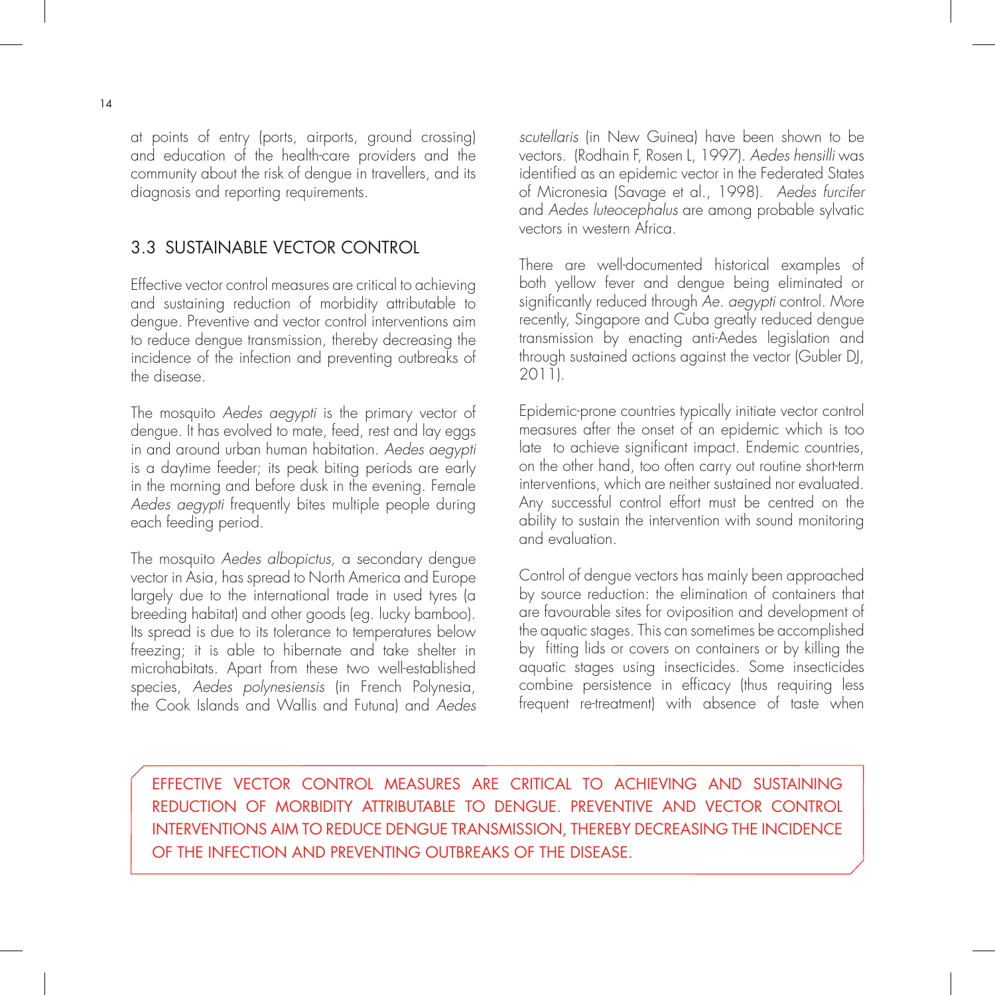at points of entry (ports, airports, ground crossing) and education of the health-care providers and the community about the risk of dengue in travellers, and its diagnosis and reporting requirements.

## 3.3 SUSTAINABLE VECTOR CONTROL

Effective vector control measures are critical to achieving and sustaining reduction of morbidity attributable to dengue. Preventive and vector control interventions aim to reduce dengue transmission, thereby decreasing the incidence of the infection and preventing outbreaks of the disease.

The mosquito Aedes aegypti is the primary vector of dengue. It has evolved to mate, feed, rest and lay eggs in and around urban human habitation. Aedes aegypti is a daytime feeder; its peak biting periods are early in the morning and before dusk in the evening. Female Aedes aegypti frequently bites multiple people during each feeding period.

The mosquito Aedes albopictus, a secondary dengue vector in Asia, has spread to North America and Europe largely due to the international trade in used tyres (a breeding habitat) and other goods (eg. lucky bamboo). Its spread is due to its tolerance to temperatures below freezing; it is able to hibernate and take shelter in microhabitats. Apart from these two well-established species, Aedes polynesiensis (in French Polynesia, the Cook Islands and Wallis and Futuna) and Aedes scutellaris (in New Guinea) have been shown to be vectors. (Rodhain F, Rosen L, 1997). Aedes hensilli was identified as an epidemic vector in the Federated States of Micronesia (Savage et al., 1998). Aedes furcifer and Aedes luteocephalus are among probable sylvatic vectors in western Africa.

There are well-documented historical examples of both yellow fever and dengue being eliminated or significantly reduced through Ae. aegypti control. More recently, Singapore and Cuba greatly reduced dengue transmission by enacting anti-Aedes legislation and through sustained actions against the vector (Gubler DJ, 2011).

Epidemic-prone countries typically initiate vector control measures after the onset of an epidemic which is too late to achieve significant impact. Endemic countries, on the other hand, too often carry out routine short-term interventions, which are neither sustained nor evaluated. Any successful control effort must be centred on the ability to sustain the intervention with sound monitoring and evaluation.

Control of dengue vectors has mainly been approached by source reduction: the elimination of containers that are favourable sites for oviposition and development of the aquatic stages. This can sometimes be accomplished by fitting lids or covers on containers or by killing the aquatic stages using insecticides. Some insecticides combine persistence in efficacy (thus requiring less frequent re-treatment) with absence of taste when

EFFECTIVE VECTOR CONTROL MEASURES ARE CRITICAL TO ACHIEVING AND SUSTAINING REDUCTION OF MORBIDITY ATTRIBUTABLE TO DENGUE. PREVENTIVE AND VECTOR CONTROL INTERVENTIONS AIM TO REDUCE DENGUE TRANSMISSION, THEREBY DECREASING THE INCIDENCE OF THE INFECTION AND PREVENTING OUTBREAKS OF THE DISEASE.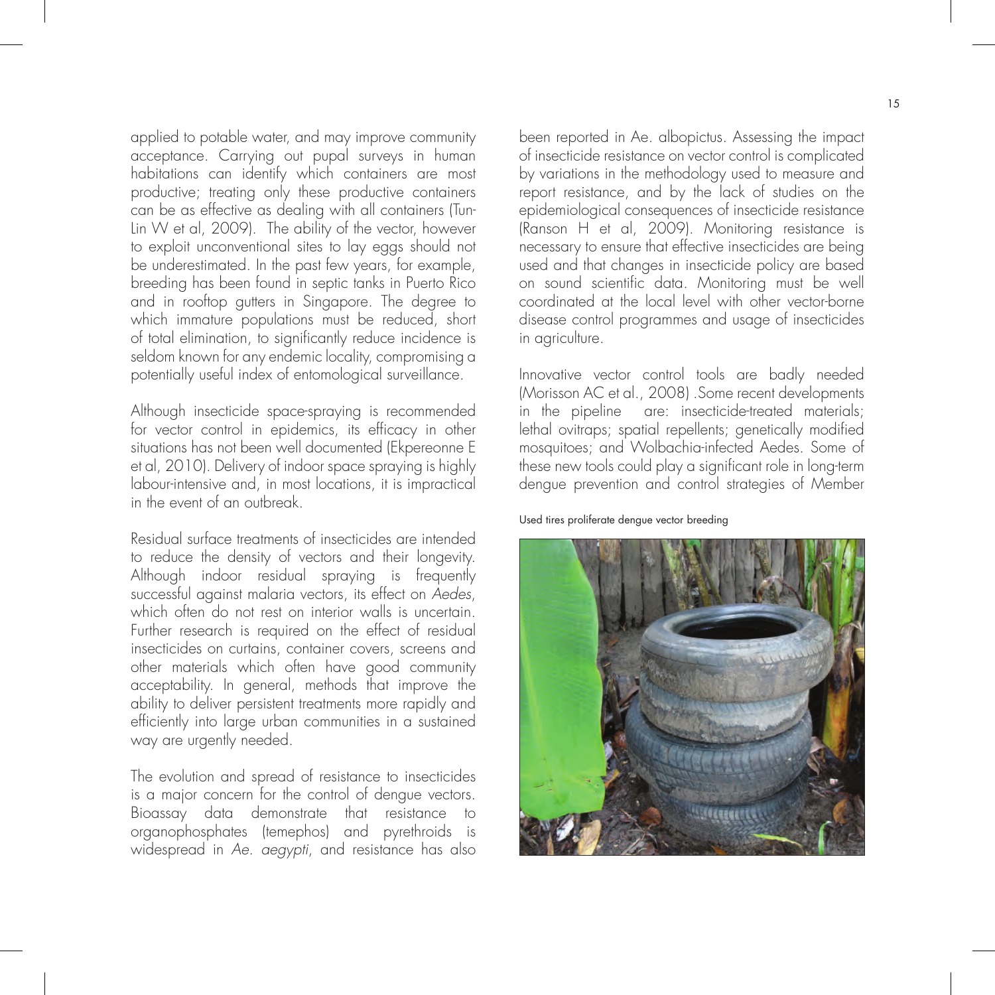applied to potable water, and may improve community acceptance. Carrying out pupal surveys in human habitations can identify which containers are most productive; treating only these productive containers can be as effective as dealing with all containers (Tun-Lin W et al, 2009). The ability of the vector, however to exploit unconventional sites to lay eggs should not be underestimated. In the past few years, for example, breeding has been found in septic tanks in Puerto Rico and in rooftop gutters in Singapore. The degree to which immature populations must be reduced, short of total elimination, to significantly reduce incidence is seldom known for any endemic locality, compromising a potentially useful index of entomological surveillance.

Although insecticide space-spraying is recommended for vector control in epidemics, its efficacy in other situations has not been well documented (Ekpereonne E et al, 2010). Delivery of indoor space spraying is highly labour-intensive and, in most locations, it is impractical in the event of an outbreak.

Residual surface treatments of insecticides are intended to reduce the density of vectors and their longevity. Although indoor residual spraying is frequently successful against malaria vectors, its effect on Aedes, which often do not rest on interior walls is uncertain. Further research is required on the effect of residual insecticides on curtains, container covers, screens and other materials which often have good community acceptability. In general, methods that improve the ability to deliver persistent treatments more rapidly and efficiently into large urban communities in a sustained way are urgently needed.

The evolution and spread of resistance to insecticides is a major concern for the control of dengue vectors. Bioassay data demonstrate that resistance to organophosphates (temephos) and pyrethroids is widespread in Ae. aegypti, and resistance has also been reported in Ae. albopictus. Assessing the impact of insecticide resistance on vector control is complicated by variations in the methodology used to measure and report resistance, and by the lack of studies on the epidemiological consequences of insecticide resistance (Ranson H et al, 2009). Monitoring resistance is necessary to ensure that effective insecticides are being used and that changes in insecticide policy are based on sound scientific data. Monitoring must be well coordinated at the local level with other vector-borne disease control programmes and usage of insecticides in agriculture.

Innovative vector control tools are badly needed (Morisson AC et al., 2008) .Some recent developments in the pipeline are: insecticide-treated materials; lethal ovitraps; spatial repellents; genetically modified mosquitoes; and Wolbachia-infected Aedes. Some of these new tools could play a significant role in long-term dengue prevention and control strategies of Member

Used tires proliferate dengue vector breeding

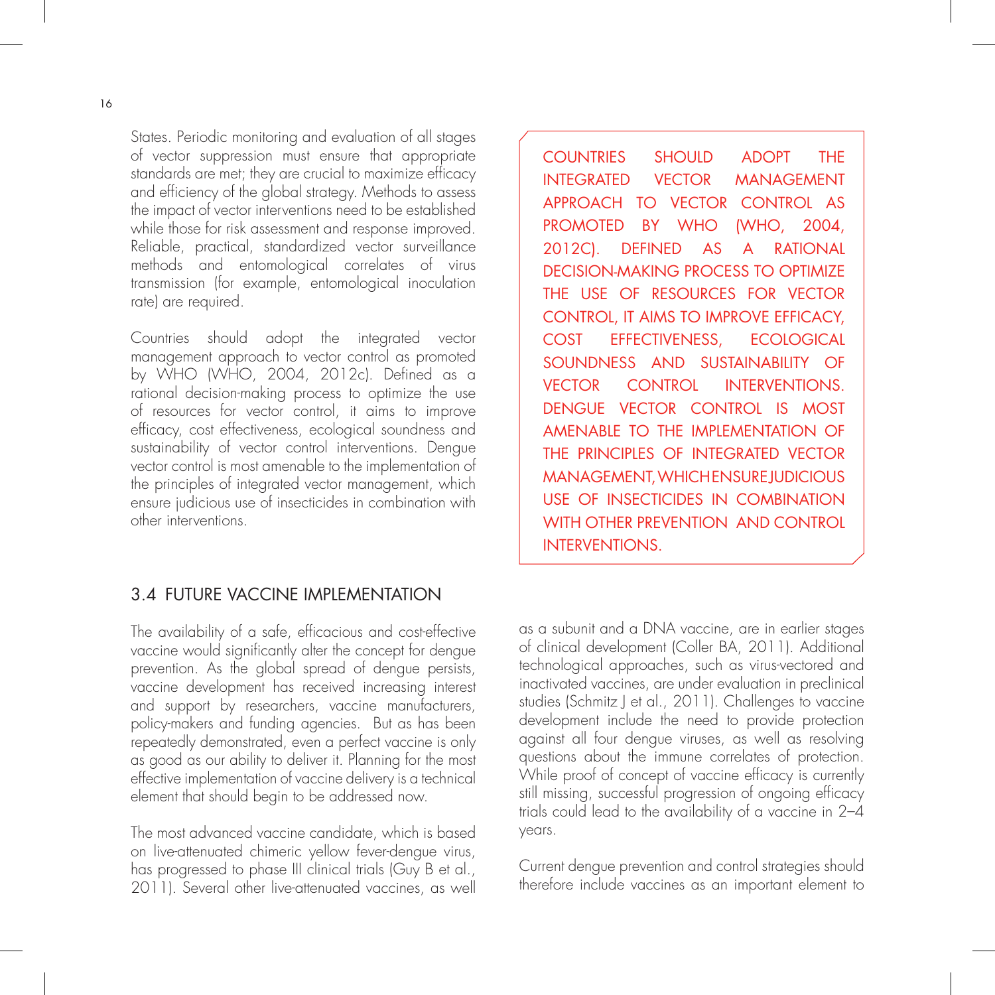States. Periodic monitoring and evaluation of all stages of vector suppression must ensure that appropriate standards are met; they are crucial to maximize efficacy and efficiency of the global strategy. Methods to assess the impact of vector interventions need to be established while those for risk assessment and response improved. Reliable, practical, standardized vector surveillance methods and entomological correlates of virus transmission (for example, entomological inoculation rate) are required.

Countries should adopt the integrated vector management approach to vector control as promoted by WHO (WHO, 2004, 2012c). Defined as a rational decision-making process to optimize the use of resources for vector control, it aims to improve efficacy, cost effectiveness, ecological soundness and sustainability of vector control interventions. Dengue vector control is most amenable to the implementation of the principles of integrated vector management, which ensure judicious use of insecticides in combination with other interventions.

## 3.4 FUTURE VACCINE IMPLEMENTATION

The availability of a safe, efficacious and cost-effective vaccine would significantly alter the concept for dengue prevention. As the global spread of dengue persists, vaccine development has received increasing interest and support by researchers, vaccine manufacturers, policy-makers and funding agencies. But as has been repeatedly demonstrated, even a perfect vaccine is only as good as our ability to deliver it. Planning for the most effective implementation of vaccine delivery is a technical element that should begin to be addressed now.

The most advanced vaccine candidate, which is based on live-attenuated chimeric yellow fever-dengue virus, has progressed to phase III clinical trials (Guy B et al., 2011). Several other live-attenuated vaccines, as well

COUNTRIES SHOULD ADOPT THE INTEGRATED VECTOR MANAGEMENT APPROACH TO VECTOR CONTROL AS PROMOTED BY WHO (WHO, 2004, 2012C). DEFINED AS A RATIONAL DECISION-MAKING PROCESS TO OPTIMIZE THE USE OF RESOURCES FOR VECTOR CONTROL, IT AIMS TO IMPROVE EFFICACY, COST EFFECTIVENESS, ECOLOGICAL SOUNDNESS AND SUSTAINABILITY OF VECTOR CONTROL INTERVENTIONS. DENGUE VECTOR CONTROL IS MOST AMENABLE TO THE IMPLEMENTATION OF THE PRINCIPLES OF INTEGRATED VECTOR MANAGEMENT, WHICH ENSURE JUDICIOUS USE OF INSECTICIDES IN COMBINATION WITH OTHER PREVENTION AND CONTROL INTERVENTIONS.

as a subunit and a DNA vaccine, are in earlier stages of clinical development (Coller BA, 2011). Additional technological approaches, such as virus-vectored and inactivated vaccines, are under evaluation in preclinical studies (Schmitz J et al., 2011). Challenges to vaccine development include the need to provide protection against all four dengue viruses, as well as resolving questions about the immune correlates of protection. While proof of concept of vaccine efficacy is currently still missing, successful progression of ongoing efficacy trials could lead to the availability of a vaccine in 2–4 years.

Current dengue prevention and control strategies should therefore include vaccines as an important element to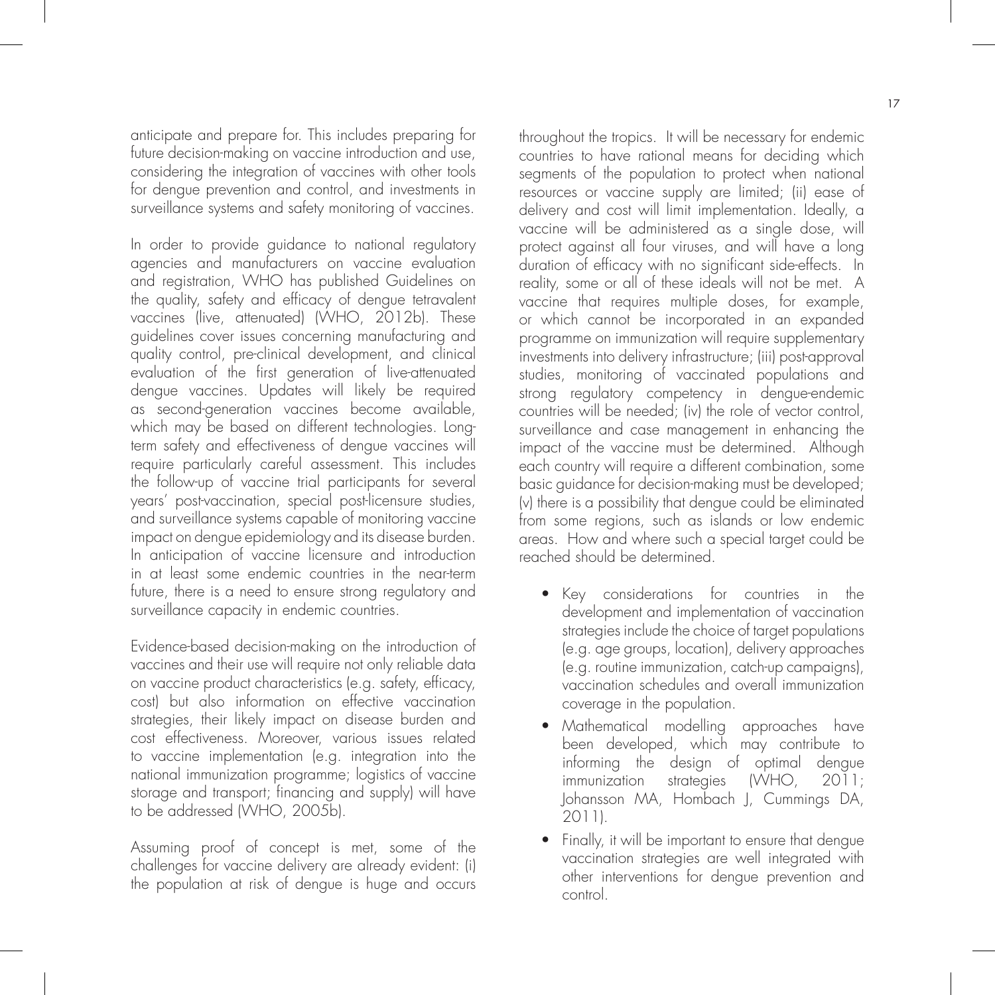anticipate and prepare for. This includes preparing for future decision-making on vaccine introduction and use, considering the integration of vaccines with other tools for dengue prevention and control, and investments in surveillance systems and safety monitoring of vaccines.

In order to provide guidance to national regulatory agencies and manufacturers on vaccine evaluation and registration, WHO has published Guidelines on the quality, safety and efficacy of dengue tetravalent vaccines (live, attenuated) (WHO, 2012b). These guidelines cover issues concerning manufacturing and quality control, pre-clinical development, and clinical evaluation of the first generation of live-attenuated dengue vaccines. Updates will likely be required as second-generation vaccines become available, which may be based on different technologies. Longterm safety and effectiveness of dengue vaccines will require particularly careful assessment. This includes the follow-up of vaccine trial participants for several years' post-vaccination, special post-licensure studies, and surveillance systems capable of monitoring vaccine impact on dengue epidemiology and its disease burden. In anticipation of vaccine licensure and introduction in at least some endemic countries in the near-term future, there is a need to ensure strong regulatory and surveillance capacity in endemic countries.

Evidence-based decision-making on the introduction of vaccines and their use will require not only reliable data on vaccine product characteristics (e.g. safety, efficacy, cost) but also information on effective vaccination strategies, their likely impact on disease burden and cost effectiveness. Moreover, various issues related to vaccine implementation (e.g. integration into the national immunization programme; logistics of vaccine storage and transport; financing and supply) will have to be addressed (WHO, 2005b).

Assuming proof of concept is met, some of the challenges for vaccine delivery are already evident: (i) the population at risk of dengue is huge and occurs throughout the tropics. It will be necessary for endemic countries to have rational means for deciding which segments of the population to protect when national resources or vaccine supply are limited; (ii) ease of delivery and cost will limit implementation. Ideally, a vaccine will be administered as a single dose, will protect against all four viruses, and will have a long duration of efficacy with no significant side-effects. In reality, some or all of these ideals will not be met. A vaccine that requires multiple doses, for example, or which cannot be incorporated in an expanded programme on immunization will require supplementary investments into delivery infrastructure; (iii) post-approval studies, monitoring of vaccinated populations and strong regulatory competency in dengue-endemic countries will be needed; (iv) the role of vector control, surveillance and case management in enhancing the impact of the vaccine must be determined. Although each country will require a different combination, some basic guidance for decision-making must be developed; (v) there is a possibility that dengue could be eliminated from some regions, such as islands or low endemic areas. How and where such a special target could be reached should be determined.

- Key considerations for countries in the development and implementation of vaccination strategies include the choice of target populations (e.g. age groups, location), delivery approaches (e.g. routine immunization, catch-up campaigns), vaccination schedules and overall immunization coverage in the population.
- Mathematical modelling approaches have been developed, which may contribute to informing the design of optimal dengue immunization strategies (WHO, 2011; Johansson MA, Hombach J, Cummings DA, 2011).
- Finally, it will be important to ensure that dengue vaccination strategies are well integrated with other interventions for dengue prevention and control.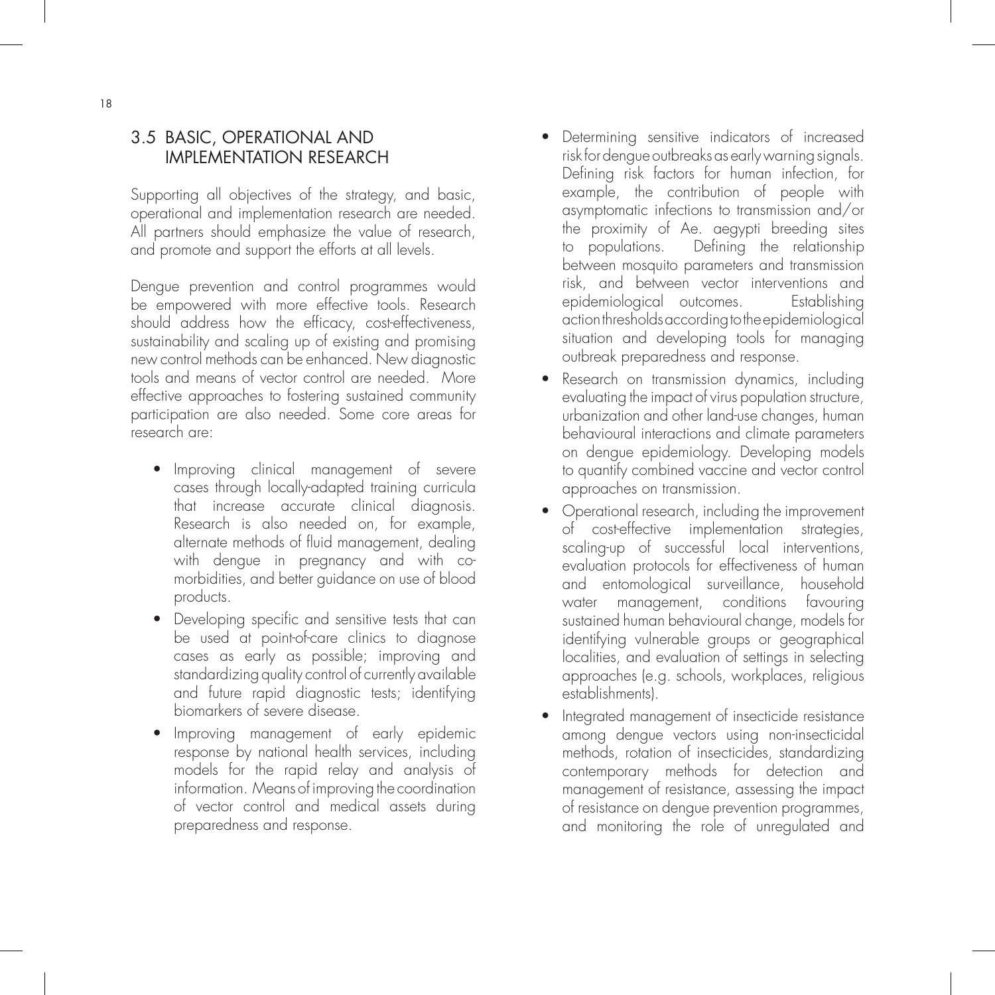## 3.5 BASIC, OPERATIONAL AND IMPLEMENTATION RESEARCH

Supporting all objectives of the strategy, and basic, operational and implementation research are needed. All partners should emphasize the value of research, and promote and support the efforts at all levels.

Dengue prevention and control programmes would be empowered with more effective tools. Research should address how the efficacy, cost-effectiveness, sustainability and scaling up of existing and promising new control methods can be enhanced. New diagnostic tools and means of vector control are needed. More effective approaches to fostering sustained community participation are also needed. Some core areas for research are:

- Improving clinical management of severe cases through locally-adapted training curricula that increase accurate clinical diagnosis. Research is also needed on, for example, alternate methods of fluid management, dealing with dengue in pregnancy and with co morbidities, and better guidance on use of blood products.
- Developing specific and sensitive tests that can be used at point-of-care clinics to diagnose cases as early as possible; improving and standardizing quality control of currently available and future rapid diagnostic tests; identifying biomarkers of severe disease.
- Improving management of early epidemic response by national health services, including models for the rapid relay and analysis of information. Means of improving the coordination of vector control and medical assets during preparedness and response.
- Determining sensitive indicators of increased risk for dengue outbreaks as early warning signals. Defining risk factors for human infection, for example, the contribution of people with asymptomatic infections to transmission and/or the proximity of Ae. aegypti breeding sites to populations. Defining the relationship between mosquito parameters and transmission risk, and between vector interventions and epidemiological outcomes. Establishing action thresholds according to the epidemiological situation and developing tools for managing outbreak preparedness and response.
- Research on transmission dynamics, including evaluating the impact of virus population structure, urbanization and other land-use changes, human behavioural interactions and climate parameters on dengue epidemiology. Developing models to quantify combined vaccine and vector control approaches on transmission.
- Operational research, including the improvement of cost-effective implementation strategies, scaling-up of successful local interventions, evaluation protocols for effectiveness of human and entomological surveillance, household water management, conditions favouring sustained human behavioural change, models for identifying vulnerable groups or geographical localities, and evaluation of settings in selecting approaches (e.g. schools, workplaces, religious establishments).
- Integrated management of insecticide resistance among dengue vectors using non-insecticidal methods, rotation of insecticides, standardizing contemporary methods for detection and management of resistance, assessing the impact of resistance on dengue prevention programmes, and monitoring the role of unregulated and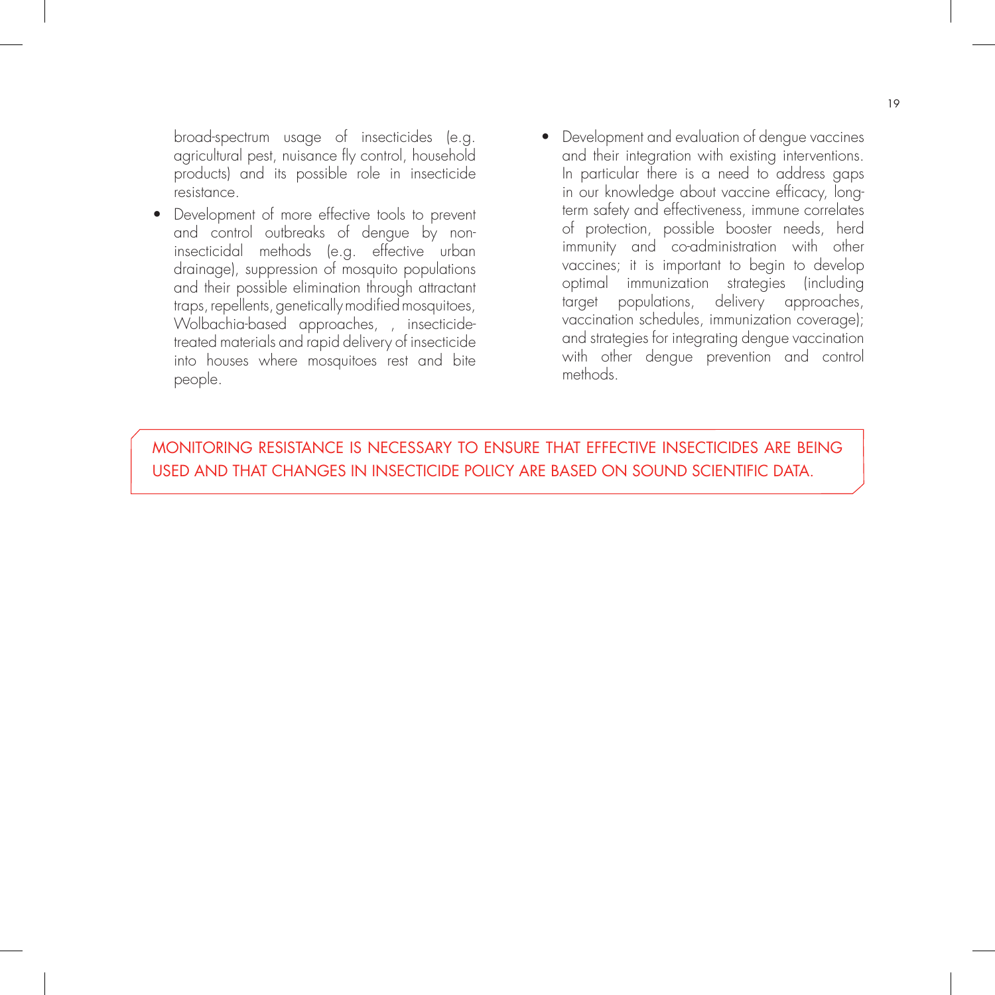broad-spectrum usage of insecticides (e.g. agricultural pest, nuisance fly control, household products) and its possible role in insecticide resistance.

- Development of more effective tools to prevent and control outbreaks of dengue by non insecticidal methods (e.g. effective urban drainage), suppression of mosquito populations and their possible elimination through attractant traps, repellents, genetically modified mosquitoes, Wolbachia-based approaches, , insecticide treated materials and rapid delivery of insecticide into houses where mosquitoes rest and bite people.
- Development and evaluation of dengue vaccines and their integration with existing interventions. In particular there is a need to address gaps in our knowledge about vaccine efficacy, long term safety and effectiveness, immune correlates of protection, possible booster needs, herd immunity and co-administration with other vaccines; it is important to begin to develop optimal immunization strategies (including target populations, delivery approaches, vaccination schedules, immunization coverage); and strategies for integrating dengue vaccination with other dengue prevention and control methods.

MONITORING RESISTANCE IS NECESSARY TO ENSURE THAT EFFECTIVE INSECTICIDES ARE BEING USED AND THAT CHANGES IN INSECTICIDE POLICY ARE BASED ON SOUND SCIENTIFIC DATA.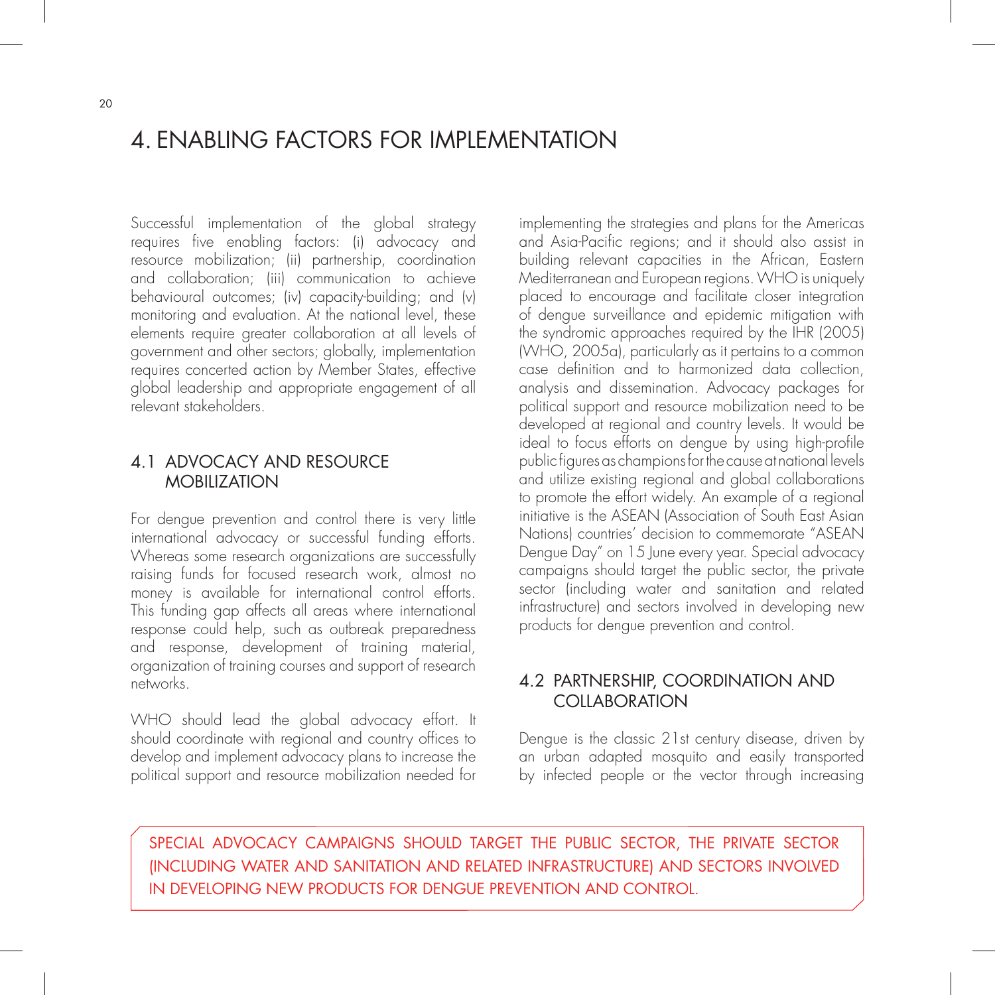# 4. ENABLING FACTORS FOR IMPLEMENTATION

Successful implementation of the global strategy requires five enabling factors: (i) advocacy and resource mobilization; (ii) partnership, coordination and collaboration; (iii) communication to achieve behavioural outcomes; (iv) capacity-building; and (v) monitoring and evaluation. At the national level, these elements require greater collaboration at all levels of government and other sectors; globally, implementation requires concerted action by Member States, effective global leadership and appropriate engagement of all relevant stakeholders.

## 4.1 ADVOCACY AND RESOURCE **MOBILIZATION**

For dengue prevention and control there is very little international advocacy or successful funding efforts. Whereas some research organizations are successfully raising funds for focused research work, almost no money is available for international control efforts. This funding gap affects all areas where international response could help, such as outbreak preparedness and response, development of training material, organization of training courses and support of research networks.

WHO should lead the global advocacy effort. It should coordinate with regional and country offices to develop and implement advocacy plans to increase the political support and resource mobilization needed for

implementing the strategies and plans for the Americas and Asia-Pacific regions; and it should also assist in building relevant capacities in the African, Eastern Mediterranean and European regions. WHO is uniquely placed to encourage and facilitate closer integration of dengue surveillance and epidemic mitigation with the syndromic approaches required by the IHR (2005) (WHO, 2005a), particularly as it pertains to a common case definition and to harmonized data collection, analysis and dissemination. Advocacy packages for political support and resource mobilization need to be developed at regional and country levels. It would be ideal to focus efforts on dengue by using high-profile public figures as champions for the cause at national levels and utilize existing regional and global collaborations to promote the effort widely. An example of a regional initiative is the ASEAN (Association of South East Asian Nations) countries' decision to commemorate "ASEAN Dengue Day" on 15 June every year. Special advocacy campaigns should target the public sector, the private sector (including water and sanitation and related infrastructure) and sectors involved in developing new products for dengue prevention and control.

## 4.2 PARTNERSHIP, COORDINATION AND **COLLABORATION**

Dengue is the classic 21st century disease, driven by an urban adapted mosquito and easily transported by infected people or the vector through increasing

SPECIAL ADVOCACY CAMPAIGNS SHOULD TARGET THE PUBLIC SECTOR, THE PRIVATE SECTOR (INCLUDING WATER AND SANITATION AND RELATED INFRASTRUCTURE) AND SECTORS INVOLVED IN DEVELOPING NEW PRODUCTS FOR DENGUE PREVENTION AND CONTROL.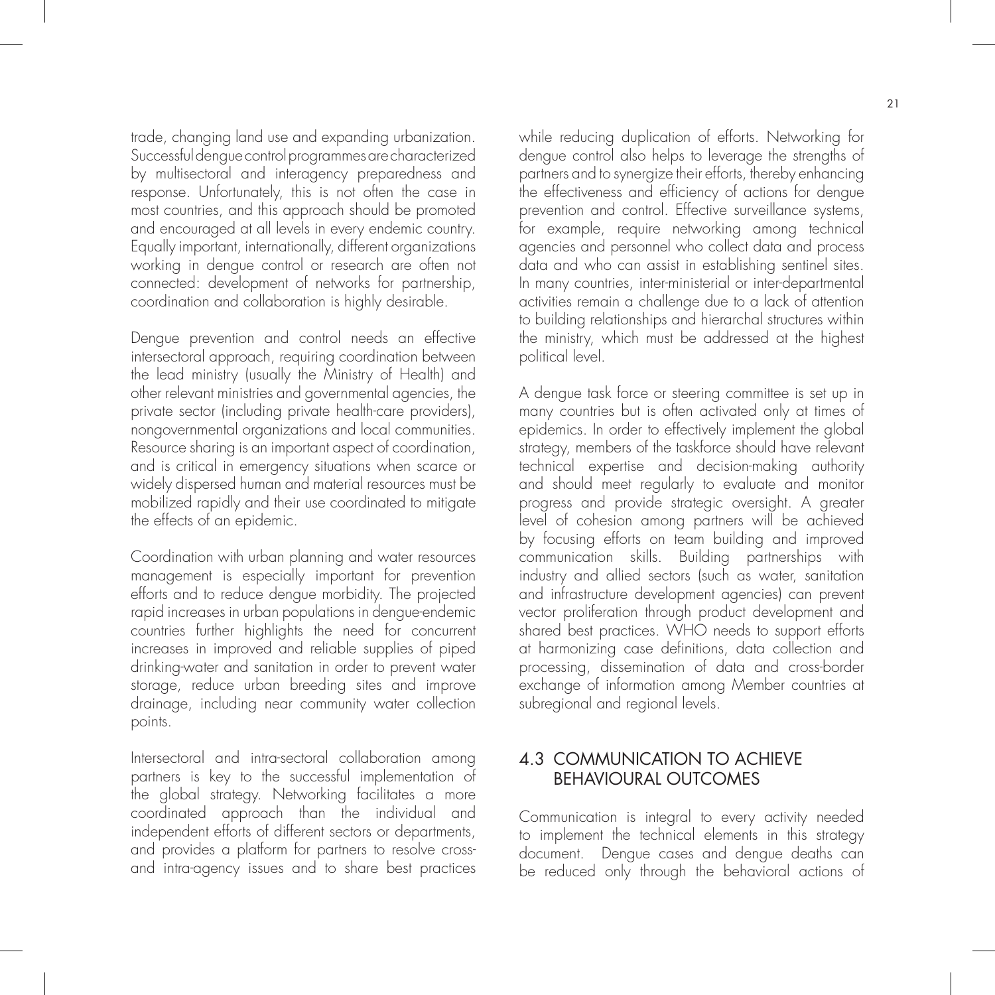trade, changing land use and expanding urbanization. Successful dengue control programmes are characterized by multisectoral and interagency preparedness and response. Unfortunately, this is not often the case in most countries, and this approach should be promoted and encouraged at all levels in every endemic country. Equally important, internationally, different organizations working in dengue control or research are often not connected: development of networks for partnership, coordination and collaboration is highly desirable.

Dengue prevention and control needs an effective intersectoral approach, requiring coordination between the lead ministry (usually the Ministry of Health) and other relevant ministries and governmental agencies, the private sector (including private health-care providers), nongovernmental organizations and local communities. Resource sharing is an important aspect of coordination, and is critical in emergency situations when scarce or widely dispersed human and material resources must be mobilized rapidly and their use coordinated to mitigate the effects of an epidemic.

Coordination with urban planning and water resources management is especially important for prevention efforts and to reduce dengue morbidity. The projected rapid increases in urban populations in dengue-endemic countries further highlights the need for concurrent increases in improved and reliable supplies of piped drinking-water and sanitation in order to prevent water storage, reduce urban breeding sites and improve drainage, including near community water collection points.

Intersectoral and intra-sectoral collaboration among partners is key to the successful implementation of the global strategy. Networking facilitates a more coordinated approach than the individual and independent efforts of different sectors or departments, and provides a platform for partners to resolve crossand intra-agency issues and to share best practices while reducing duplication of efforts. Networking for dengue control also helps to leverage the strengths of partners and to synergize their efforts, thereby enhancing the effectiveness and efficiency of actions for dengue prevention and control. Effective surveillance systems, for example, require networking among technical agencies and personnel who collect data and process data and who can assist in establishing sentinel sites. In many countries, inter-ministerial or inter-departmental activities remain a challenge due to a lack of attention to building relationships and hierarchal structures within the ministry, which must be addressed at the highest political level.

A dengue task force or steering committee is set up in many countries but is often activated only at times of epidemics. In order to effectively implement the global strategy, members of the taskforce should have relevant technical expertise and decision-making authority and should meet regularly to evaluate and monitor progress and provide strategic oversight. A greater level of cohesion among partners will be achieved by focusing efforts on team building and improved communication skills. Building partnerships with industry and allied sectors (such as water, sanitation and infrastructure development agencies) can prevent vector proliferation through product development and shared best practices. WHO needs to support efforts at harmonizing case definitions, data collection and processing, dissemination of data and cross-border exchange of information among Member countries at subregional and regional levels.

## 4.3 COMMUNICATION TO ACHIEVE BEHAVIOURAL OUTCOMES

Communication is integral to every activity needed to implement the technical elements in this strategy document. Dengue cases and dengue deaths can be reduced only through the behavioral actions of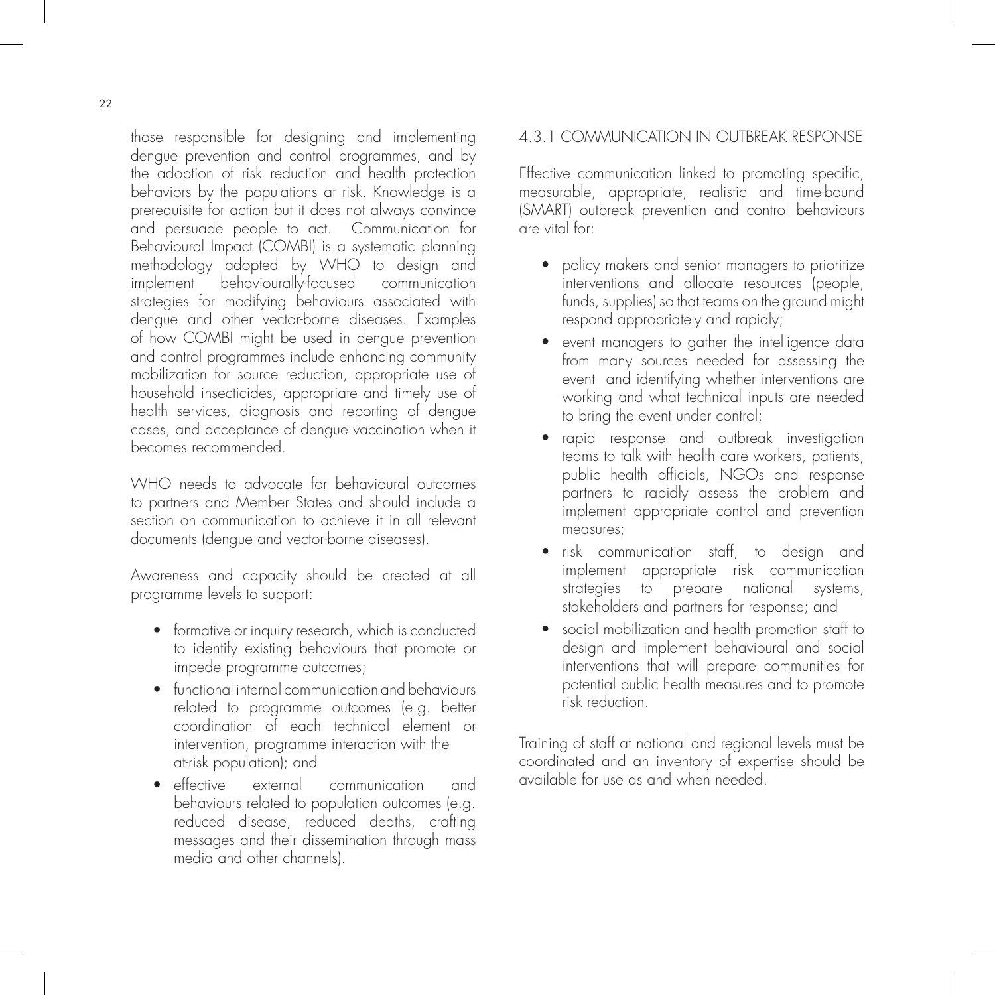those responsible for designing and implementing dengue prevention and control programmes, and by the adoption of risk reduction and health protection behaviors by the populations at risk. Knowledge is a prerequisite for action but it does not always convince and persuade people to act. Communication for Behavioural Impact (COMBI) is a systematic planning methodology adopted by WHO to design and implement behaviourally-focused communication strategies for modifying behaviours associated with dengue and other vector-borne diseases. Examples of how COMBI might be used in dengue prevention and control programmes include enhancing community mobilization for source reduction, appropriate use of household insecticides, appropriate and timely use of health services, diagnosis and reporting of dengue cases, and acceptance of dengue vaccination when it becomes recommended.

WHO needs to advocate for behavioural outcomes to partners and Member States and should include a section on communication to achieve it in all relevant documents (dengue and vector-borne diseases).

Awareness and capacity should be created at all programme levels to support:

- formative or inquiry research, which is conducted to identify existing behaviours that promote or impede programme outcomes;
- functional internal communication and behaviours related to programme outcomes (e.g. better coordination of each technical element or intervention, programme interaction with the at-risk population); and
- effective external communication and behaviours related to population outcomes (e.g. reduced disease, reduced deaths, crafting messages and their dissemination through mass media and other channels).

### 4.3.1 COMMUNICATION IN OUTBREAK RESPONSE

Effective communication linked to promoting specific, measurable, appropriate, realistic and time-bound (SMART) outbreak prevention and control behaviours are vital for:

- policy makers and senior managers to prioritize interventions and allocate resources (people, funds, supplies) so that teams on the ground might respond appropriately and rapidly;
- event managers to gather the intelligence data from many sources needed for assessing the event and identifying whether interventions are working and what technical inputs are needed to bring the event under control;
- rapid response and outbreak investigation teams to talk with health care workers, patients, public health officials, NGOs and response partners to rapidly assess the problem and implement appropriate control and prevention measures;
- risk communication staff, to design and implement appropriate risk communication strategies to prepare national systems, stakeholders and partners for response; and
- social mobilization and health promotion staff to design and implement behavioural and social interventions that will prepare communities for potential public health measures and to promote risk reduction.

Training of staff at national and regional levels must be coordinated and an inventory of expertise should be available for use as and when needed.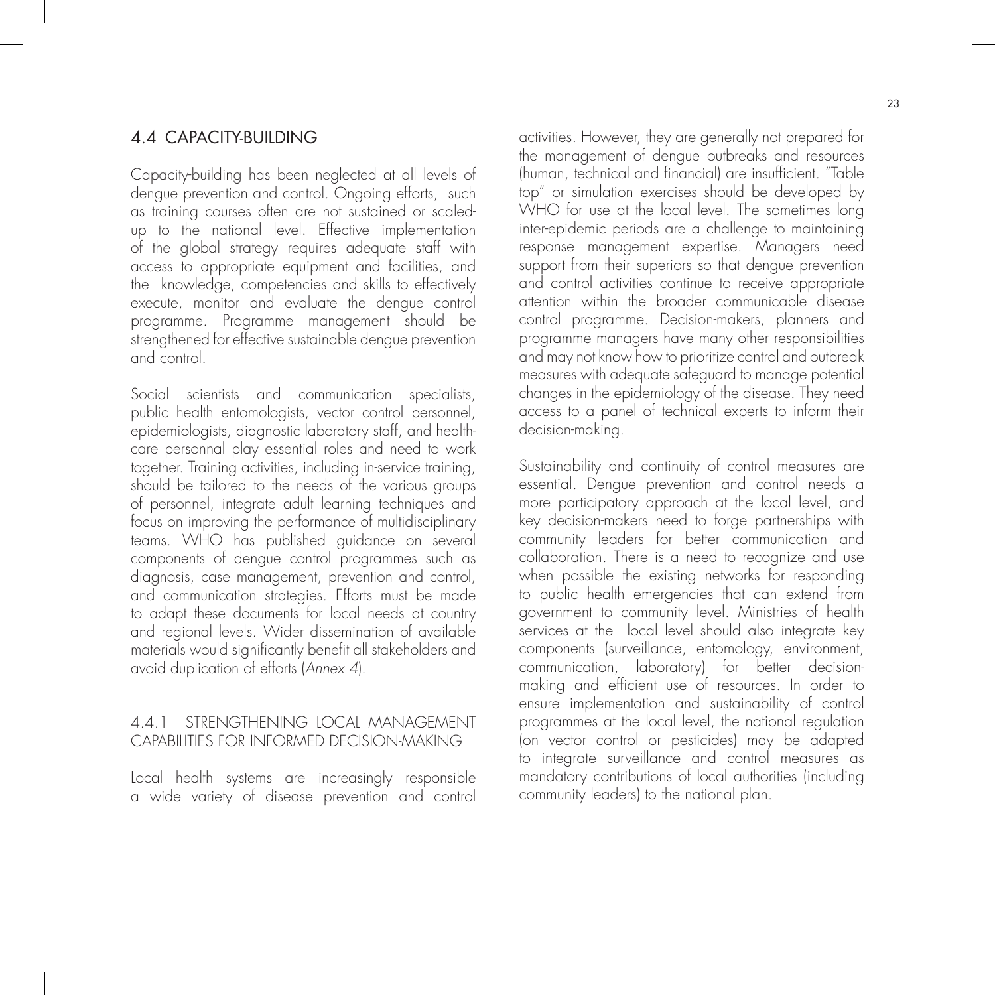### 4.4 CAPACITY-BUILDING

Capacity-building has been neglected at all levels of dengue prevention and control. Ongoing efforts, such as training courses often are not sustained or scaledup to the national level. Effective implementation of the global strategy requires adequate staff with access to appropriate equipment and facilities, and the knowledge, competencies and skills to effectively execute, monitor and evaluate the dengue control programme. Programme management should be strengthened for effective sustainable dengue prevention and control.

Social scientists and communication specialists, public health entomologists, vector control personnel, epidemiologists, diagnostic laboratory staff, and healthcare personnal play essential roles and need to work together. Training activities, including in-service training, should be tailored to the needs of the various groups of personnel, integrate adult learning techniques and focus on improving the performance of multidisciplinary teams. WHO has published guidance on several components of dengue control programmes such as diagnosis, case management, prevention and control, and communication strategies. Efforts must be made to adapt these documents for local needs at country and regional levels. Wider dissemination of available materials would significantly benefit all stakeholders and avoid duplication of efforts (Annex 4).

#### 4.4.1 STRENGTHENING LOCAL MANAGEMENT CAPABILITIES FOR INFORMED DECISION-MAKING

Local health systems are increasingly responsible a wide variety of disease prevention and control activities. However, they are generally not prepared for the management of dengue outbreaks and resources (human, technical and financial) are insufficient. "Table top" or simulation exercises should be developed by WHO for use at the local level. The sometimes long inter-epidemic periods are a challenge to maintaining response management expertise. Managers need support from their superiors so that dengue prevention and control activities continue to receive appropriate attention within the broader communicable disease control programme. Decision-makers, planners and programme managers have many other responsibilities and may not know how to prioritize control and outbreak measures with adequate safeguard to manage potential changes in the epidemiology of the disease. They need access to a panel of technical experts to inform their decision-making.

Sustainability and continuity of control measures are essential. Dengue prevention and control needs a more participatory approach at the local level, and key decision-makers need to forge partnerships with community leaders for better communication and collaboration. There is a need to recognize and use when possible the existing networks for responding to public health emergencies that can extend from government to community level. Ministries of health services at the local level should also integrate key components (surveillance, entomology, environment, communication, laboratory) for better decisionmaking and efficient use of resources. In order to ensure implementation and sustainability of control programmes at the local level, the national regulation (on vector control or pesticides) may be adapted to integrate surveillance and control measures as mandatory contributions of local authorities (including community leaders) to the national plan.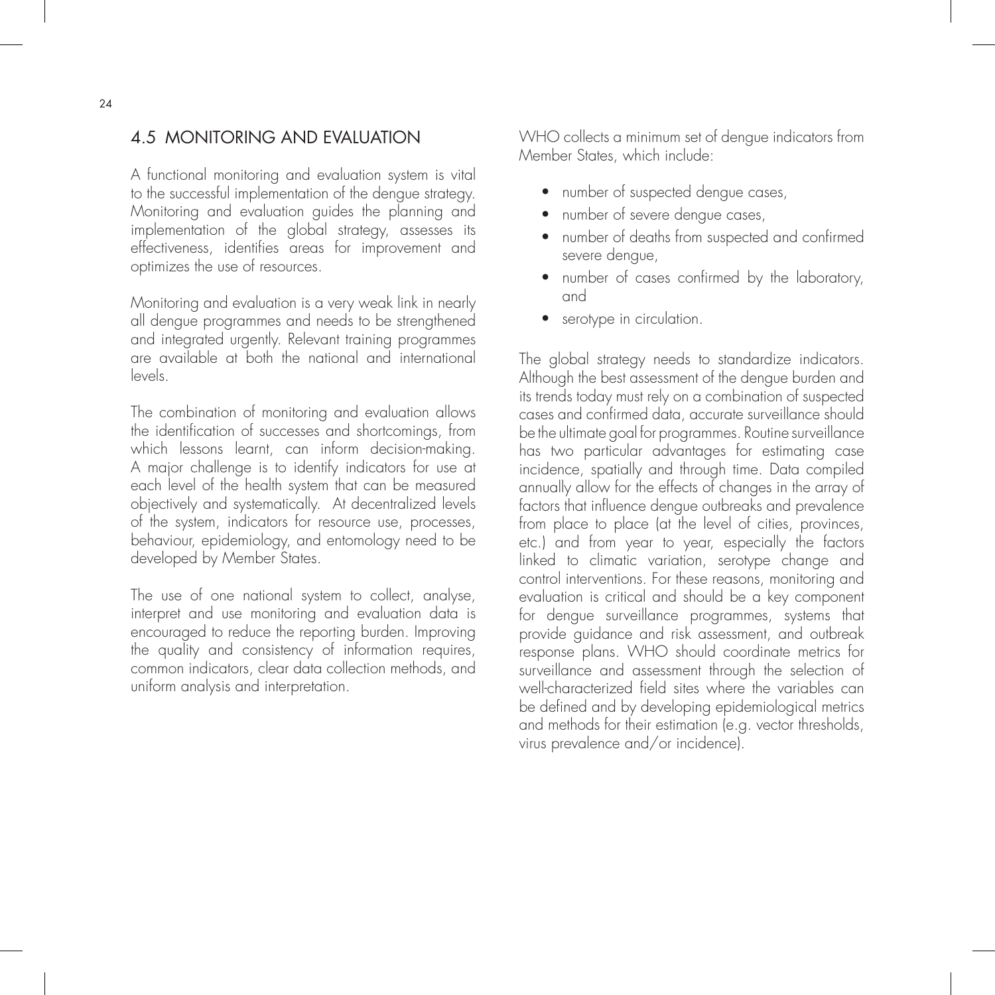## 4.5 MONITORING AND EVALUATION

A functional monitoring and evaluation system is vital to the successful implementation of the dengue strategy. Monitoring and evaluation guides the planning and implementation of the global strategy, assesses its effectiveness, identifies areas for improvement and optimizes the use of resources.

Monitoring and evaluation is a very weak link in nearly all dengue programmes and needs to be strengthened and integrated urgently. Relevant training programmes are available at both the national and international levels.

The combination of monitoring and evaluation allows the identification of successes and shortcomings, from which lessons learnt, can inform decision-making. A major challenge is to identify indicators for use at each level of the health system that can be measured objectively and systematically. At decentralized levels of the system, indicators for resource use, processes, behaviour, epidemiology, and entomology need to be developed by Member States.

The use of one national system to collect, analyse, interpret and use monitoring and evaluation data is encouraged to reduce the reporting burden. Improving the quality and consistency of information requires, common indicators, clear data collection methods, and uniform analysis and interpretation.

WHO collects a minimum set of dengue indicators from Member States, which include:

- number of suspected dengue cases,
- number of severe dengue cases,
- number of deaths from suspected and confirmed severe dengue,
- number of cases confirmed by the laboratory, and
- serotype in circulation.

The global strategy needs to standardize indicators. Although the best assessment of the dengue burden and its trends today must rely on a combination of suspected cases and confirmed data, accurate surveillance should be the ultimate goal for programmes. Routine surveillance has two particular advantages for estimating case incidence, spatially and through time. Data compiled annually allow for the effects of changes in the array of factors that influence dengue outbreaks and prevalence from place to place (at the level of cities, provinces, etc.) and from year to year, especially the factors linked to climatic variation, serotype change and control interventions. For these reasons, monitoring and evaluation is critical and should be a key component for dengue surveillance programmes, systems that provide guidance and risk assessment, and outbreak response plans. WHO should coordinate metrics for surveillance and assessment through the selection of well-characterized field sites where the variables can be defined and by developing epidemiological metrics and methods for their estimation (e.g. vector thresholds, virus prevalence and/or incidence).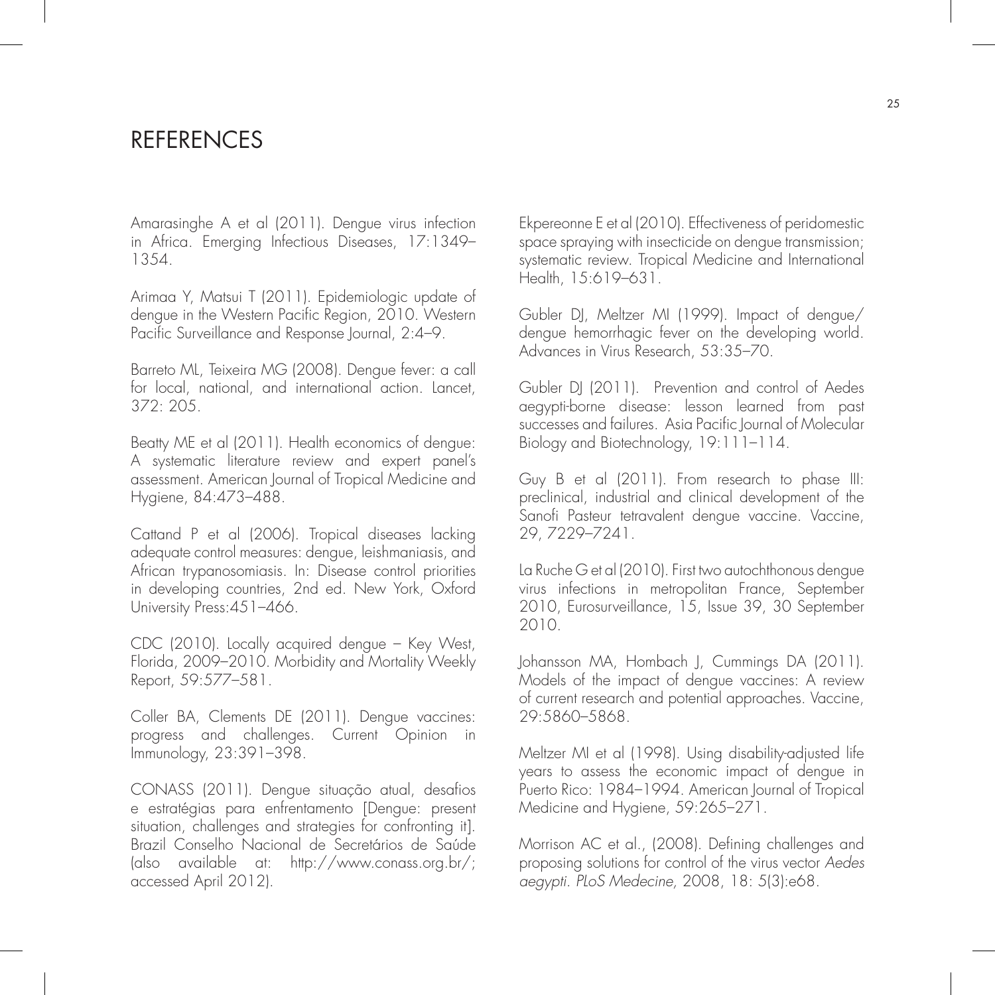## **REFERENCES**

Amarasinghe A et al (2011). Dengue virus infection in Africa. Emerging Infectious Diseases, 17:1349– 1354.

Arimaa Y, Matsui T (2011). Epidemiologic update of dengue in the Western Pacific Region, 2010. Western Pacific Surveillance and Response Journal, 2:4–9.

Barreto ML, Teixeira MG (2008). Dengue fever: a call for local, national, and international action. Lancet, 372: 205.

Beatty ME et al (2011). Health economics of dengue: A systematic literature review and expert panel's assessment. American Journal of Tropical Medicine and Hygiene, 84:473–488.

Cattand P et al (2006). Tropical diseases lacking adequate control measures: dengue, leishmaniasis, and African trypanosomiasis. In: Disease control priorities in developing countries, 2nd ed. New York, Oxford University Press: 451-466.

CDC (2010). Locally acquired dengue – Key West, Florida, 2009–2010. Morbidity and Mortality Weekly Report, 59:577–581.

Coller BA, Clements DE (2011). Dengue vaccines: progress and challenges. Current Opinion in Immunology, 23:391–398.

CONASS (2011). Dengue situação atual, desafios e estratégias para enfrentamento [Dengue: present situation, challenges and strategies for confronting it]. Brazil Conselho Nacional de Secretários de Saúde (also available at: http://www.conass.org.br/; accessed April 2012).

Ekpereonne E et al (2010). Effectiveness of peridomestic space spraying with insecticide on dengue transmission; systematic review. Tropical Medicine and International Health, 15:619–631.

Gubler DJ, Meltzer MI (1999). Impact of dengue/ dengue hemorrhagic fever on the developing world. Advances in Virus Research, 53:35–70.

Gubler DJ (2011). Prevention and control of Aedes aegypti-borne disease: lesson learned from past successes and failures. Asia Pacific Journal of Molecular Biology and Biotechnology, 19:111–114.

Guy B et al (2011). From research to phase III: preclinical, industrial and clinical development of the Sanofi Pasteur tetravalent dengue vaccine. Vaccine, 29, 7229–7241.

La Ruche G et al (2010). First two autochthonous dengue virus infections in metropolitan France, September 2010, Eurosurveillance, 15, Issue 39, 30 September 2010.

Johansson MA, Hombach J, Cummings DA (2011). Models of the impact of dengue vaccines: A review of current research and potential approaches. Vaccine, 29:5860–5868.

Meltzer MI et al (1998). Using disability-adjusted life years to assess the economic impact of dengue in Puerto Rico: 1984–1994. American Journal of Tropical Medicine and Hygiene, 59:265–271.

Morrison AC et al., (2008). Defining challenges and proposing solutions for control of the virus vector Aedes aegypti. PLoS Medecine, 2008, 18: 5(3):e68.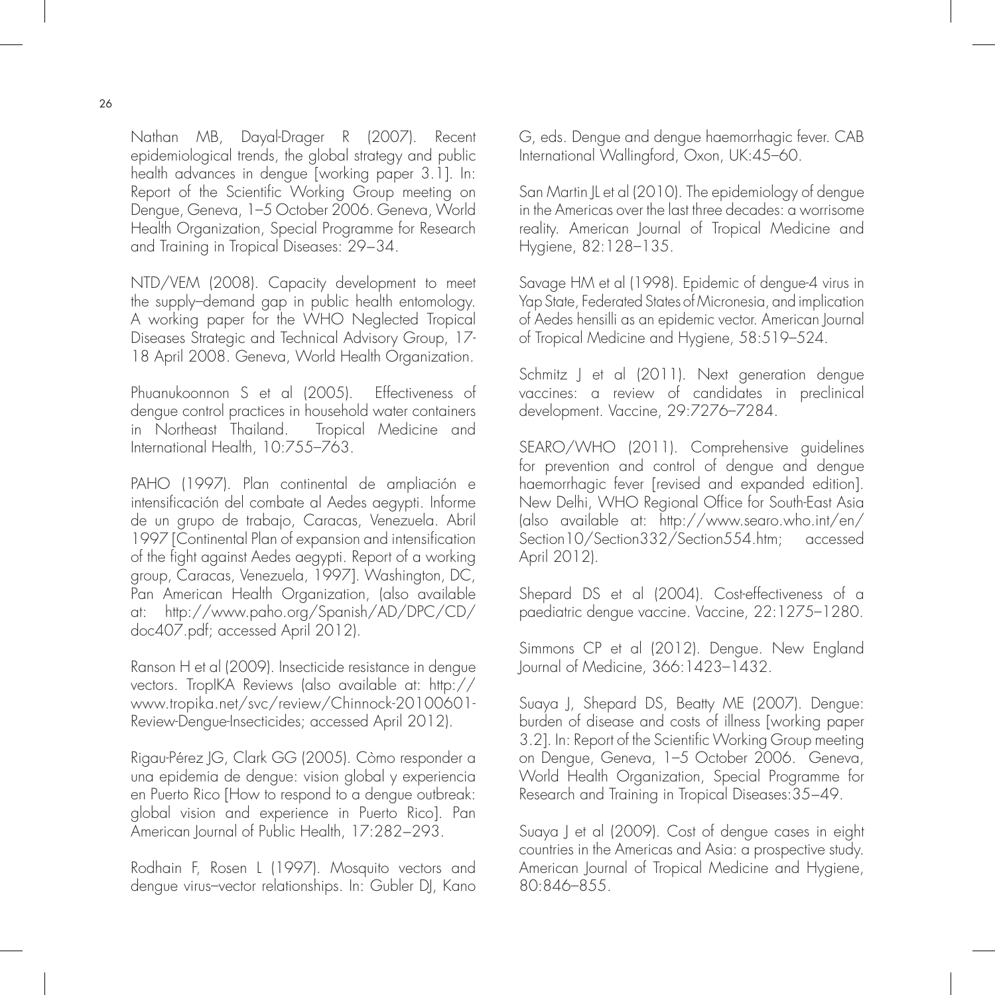Nathan MB, Dayal-Drager R (2007). Recent epidemiological trends, the global strategy and public health advances in dengue [working paper 3.1]. In: Report of the Scientific Working Group meeting on Dengue, Geneva, 1–5 October 2006. Geneva, World Health Organization, Special Programme for Research and Training in Tropical Diseases: 29−34.

NTD/VEM (2008). Capacity development to meet the supply–demand gap in public health entomology. A working paper for the WHO Neglected Tropical Diseases Strategic and Technical Advisory Group, 17- 18 April 2008. Geneva, World Health Organization.

Phuanukoonnon S et al (2005). Effectiveness of dengue control practices in household water containers in Northeast Thailand. Tropical Medicine and International Health, 10:755–763.

PAHO (1997). Plan continental de ampliación e intensificación del combate al Aedes aegypti. Informe de un grupo de trabajo, Caracas, Venezuela. Abril 1997 [Continental Plan of expansion and intensification of the fight against Aedes aegypti. Report of a working group, Caracas, Venezuela, 1997]. Washington, DC, Pan American Health Organization, (also available at: http://www.paho.org/Spanish/AD/DPC/CD/ doc407.pdf; accessed April 2012).

Ranson H et al (2009). Insecticide resistance in dengue vectors. TropIKA Reviews (also available at: http:// www.tropika.net/svc/review/Chinnock-20100601- Review-Dengue-Insecticides; accessed April 2012).

Rigau-Pérez JG, Clark GG (2005). Còmo responder a una epidemia de dengue: vision global y experiencia en Puerto Rico [How to respond to a dengue outbreak: global vision and experience in Puerto Rico]. Pan American Journal of Public Health, 17:282−293.

Rodhain F, Rosen L (1997). Mosquito vectors and dengue virus–vector relationships. In: Gubler DJ, Kano G, eds. Dengue and dengue haemorrhagic fever. CAB International Wallingford, Oxon, UK:45–60.

San Martin JL et al (2010). The epidemiology of dengue in the Americas over the last three decades: a worrisome reality. American Journal of Tropical Medicine and Hygiene, 82:128–135.

Savage HM et al (1998). Epidemic of dengue-4 virus in Yap State, Federated States of Micronesia, and implication of Aedes hensilli as an epidemic vector. American Journal of Tropical Medicine and Hygiene, 58:519–524.

Schmitz J et al (2011). Next generation dengue vaccines: a review of candidates in preclinical development. Vaccine, 29:7276–7284.

SEARO/WHO (2011). Comprehensive guidelines for prevention and control of dengue and dengue haemorrhagic fever [revised and expanded edition]. New Delhi, WHO Regional Office for South-East Asia (also available at: http://www.searo.who.int/en/ Section10/Section332/Section554.htm; accessed April 2012).

Shepard DS et al (2004). Cost-effectiveness of a paediatric dengue vaccine. Vaccine, 22:1275–1280.

Simmons CP et al (2012). Dengue. New England Journal of Medicine, 366:1423–1432.

Suaya J, Shepard DS, Beatty ME (2007). Dengue: burden of disease and costs of illness [working paper 3.2]. In: Report of the Scientific Working Group meeting on Dengue, Geneva, 1–5 October 2006. Geneva, World Health Organization, Special Programme for Research and Training in Tropical Diseases:35−49.

Suaya J et al (2009). Cost of dengue cases in eight countries in the Americas and Asia: a prospective study. American Journal of Tropical Medicine and Hygiene, 80:846–855.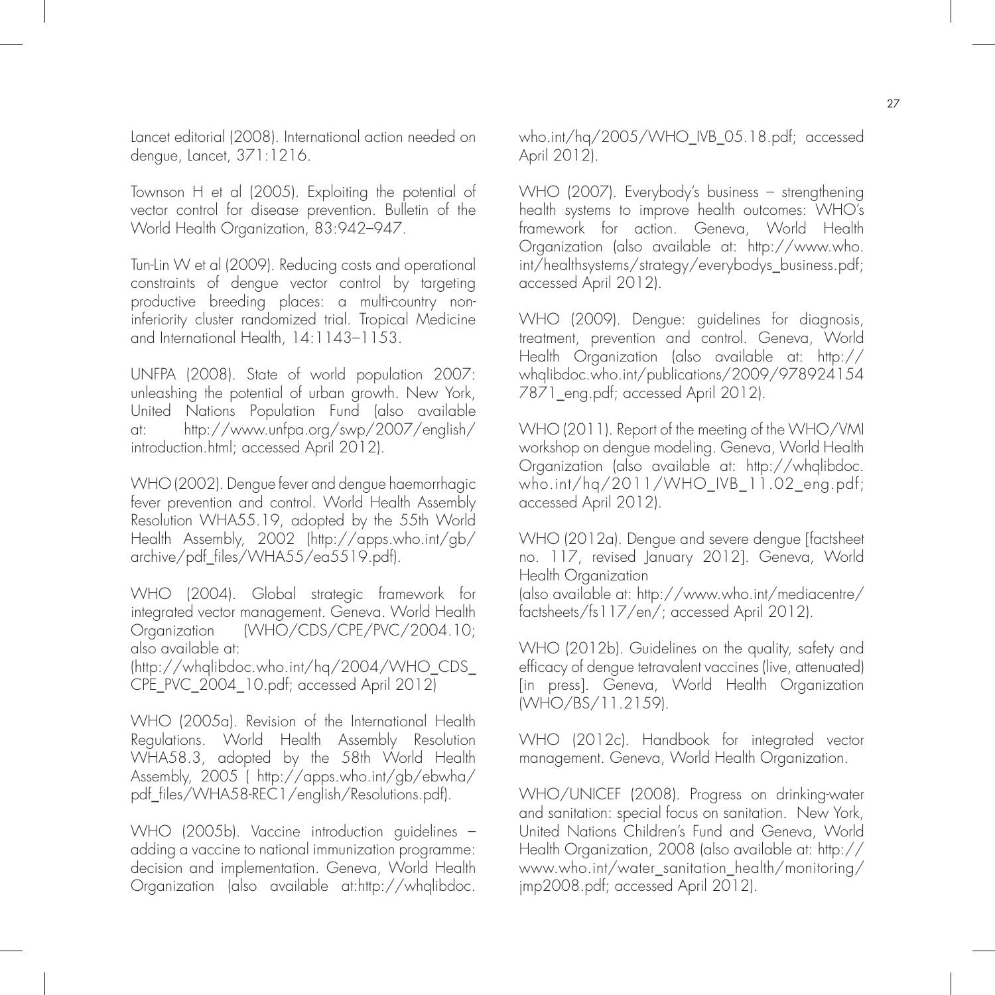Lancet editorial (2008). International action needed on dengue, Lancet, 371:1216.

Townson H et al (2005). Exploiting the potential of vector control for disease prevention. Bulletin of the World Health Organization, 83:942–947.

Tun-Lin W et al (2009). Reducing costs and operational constraints of dengue vector control by targeting productive breeding places: a multi-country noninferiority cluster randomized trial. Tropical Medicine and International Health, 14:1143–1153.

UNFPA (2008). State of world population 2007: unleashing the potential of urban growth. New York, United Nations Population Fund (also available at: http://www.unfpa.org/swp/2007/english/ introduction.html; accessed April 2012).

WHO (2002). Dengue fever and dengue haemorrhagic fever prevention and control. World Health Assembly Resolution WHA55.19, adopted by the 55th World Health Assembly, 2002 (http://apps.who.int/gb/ archive/pdf\_files/WHA55/ea5519.pdf).

WHO (2004). Global strategic framework for integrated vector management. Geneva. World Health Organization (WHO/CDS/CPE/PVC/2004.10; also available at:

(http://whqlibdoc.who.int/hq/2004/WHO\_CDS\_ CPE\_PVC\_2004\_10.pdf; accessed April 2012)

WHO (2005a). Revision of the International Health Regulations. World Health Assembly Resolution WHA58.3, adopted by the 58th World Health Assembly, 2005 ( http://apps.who.int/gb/ebwha/ pdf\_files/WHA58-REC1/english/Resolutions.pdf).

WHO (2005b). Vaccine introduction guidelines – adding a vaccine to national immunization programme: decision and implementation. Geneva, World Health Organization (also available at:http://whqlibdoc.

who.int/hq/2005/WHO\_IVB\_05.18.pdf; accessed April 2012).

WHO (2007). Everybody's business – strengthening health systems to improve health outcomes: WHO's framework for action. Geneva, World Health Organization (also available at: http://www.who. int/healthsystems/strategy/everybodys\_business.pdf; accessed April 2012).

WHO (2009). Dengue: guidelines for diagnosis, treatment, prevention and control. Geneva, World Health Organization (also available at: http:// whqlibdoc.who.int/publications/2009/978924154 7871\_eng.pdf; accessed April 2012).

WHO (2011). Report of the meeting of the WHO/VMI workshop on dengue modeling. Geneva, World Health Organization (also available at: http://whqlibdoc. who.int/hq/2011/WHO\_IVB\_11.02\_eng.pdf; accessed April 2012).

WHO (2012a). Dengue and severe dengue [factsheet no. 117, revised January 2012]. Geneva, World Health Organization

(also available at: http://www.who.int/mediacentre/ factsheets/fs117/en/; accessed April 2012).

WHO (2012b). Guidelines on the quality, safety and efficacy of dengue tetravalent vaccines (live, attenuated) [in press]. Geneva, World Health Organization (WHO/BS/11.2159).

WHO (2012c). Handbook for integrated vector management. Geneva, World Health Organization.

WHO/UNICEF (2008). Progress on drinking-water and sanitation: special focus on sanitation. New York, United Nations Children's Fund and Geneva, World Health Organization, 2008 (also available at: http:// www.who.int/water\_sanitation\_health/monitoring/ jmp2008.pdf; accessed April 2012).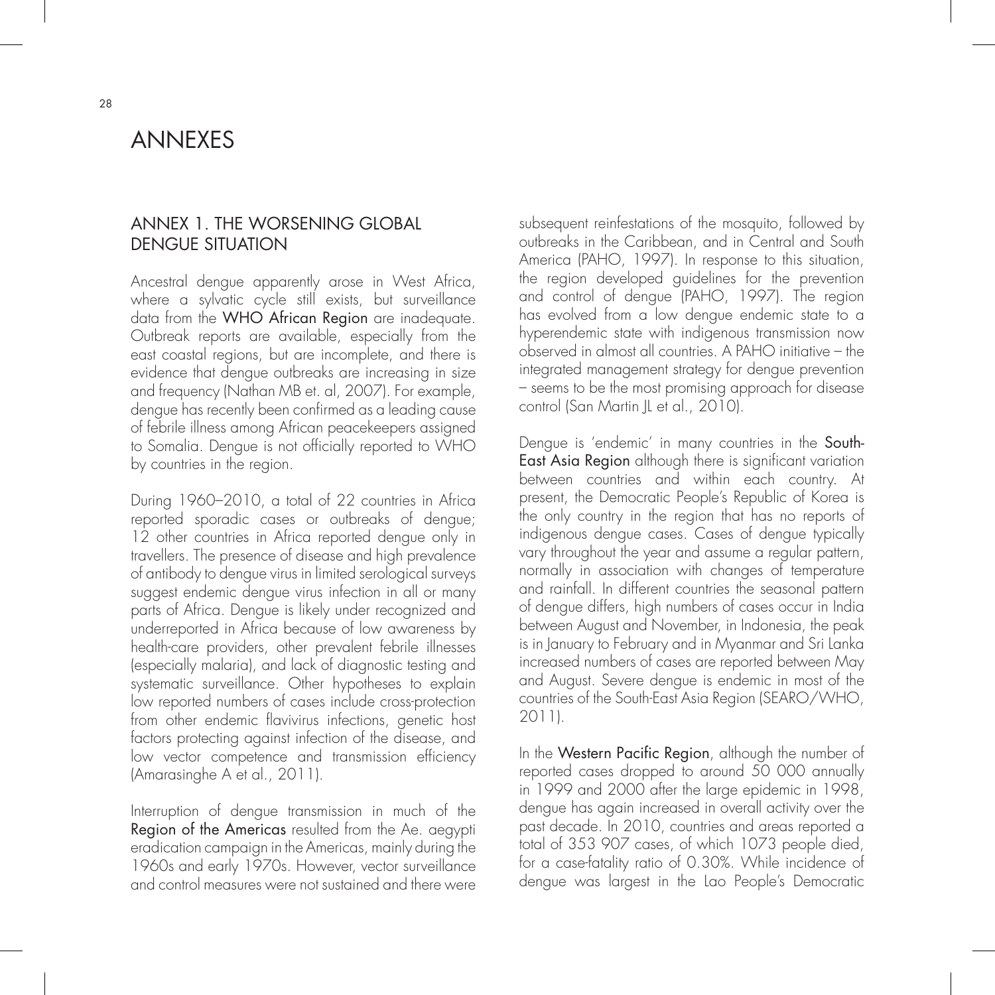## ANNEXES

#### ANNEX 1. THE WORSENING GLOBAL DENGUE SITUATION

Ancestral dengue apparently arose in West Africa, where a sylvatic cycle still exists, but surveillance data from the WHO African Region are inadequate. Outbreak reports are available, especially from the east coastal regions, but are incomplete, and there is evidence that dengue outbreaks are increasing in size and frequency (Nathan MB et. al, 2007). For example, dengue has recently been confirmed as a leading cause of febrile illness among African peacekeepers assigned to Somalia. Dengue is not officially reported to WHO by countries in the region.

During 1960–2010, a total of 22 countries in Africa reported sporadic cases or outbreaks of dengue; 12 other countries in Africa reported dengue only in travellers. The presence of disease and high prevalence of antibody to dengue virus in limited serological surveys suggest endemic dengue virus infection in all or many parts of Africa. Dengue is likely under recognized and underreported in Africa because of low awareness by health-care providers, other prevalent febrile illnesses (especially malaria), and lack of diagnostic testing and systematic surveillance. Other hypotheses to explain low reported numbers of cases include cross-protection from other endemic flavivirus infections, genetic host factors protecting against infection of the disease, and low vector competence and transmission efficiency (Amarasinghe A et al., 2011).

Interruption of dengue transmission in much of the Region of the Americas resulted from the Ae. aegypti eradication campaign in the Americas, mainly during the 1960s and early 1970s. However, vector surveillance and control measures were not sustained and there were subsequent reinfestations of the mosquito, followed by outbreaks in the Caribbean, and in Central and South America (PAHO, 1997). In response to this situation, the region developed guidelines for the prevention and control of dengue (PAHO, 1997). The region has evolved from a low dengue endemic state to a hyperendemic state with indigenous transmission now observed in almost all countries. A PAHO initiative – the integrated management strategy for dengue prevention – seems to be the most promising approach for disease control (San Martin JL et al., 2010).

Dengue is 'endemic' in many countries in the South-East Asia Region although there is significant variation between countries and within each country. At present, the Democratic People's Republic of Korea is the only country in the region that has no reports of indigenous dengue cases. Cases of dengue typically vary throughout the year and assume a regular pattern, normally in association with changes of temperature and rainfall. In different countries the seasonal pattern of dengue differs, high numbers of cases occur in India between August and November, in Indonesia, the peak is in January to February and in Myanmar and Sri Lanka increased numbers of cases are reported between May and August. Severe dengue is endemic in most of the countries of the South-East Asia Region (SEARO/WHO, 2011).

In the Western Pacific Region, although the number of reported cases dropped to around 50 000 annually in 1999 and 2000 after the large epidemic in 1998, dengue has again increased in overall activity over the past decade. In 2010, countries and areas reported a total of 353 907 cases, of which 1073 people died, for a case-fatality ratio of 0.30%. While incidence of dengue was largest in the Lao People's Democratic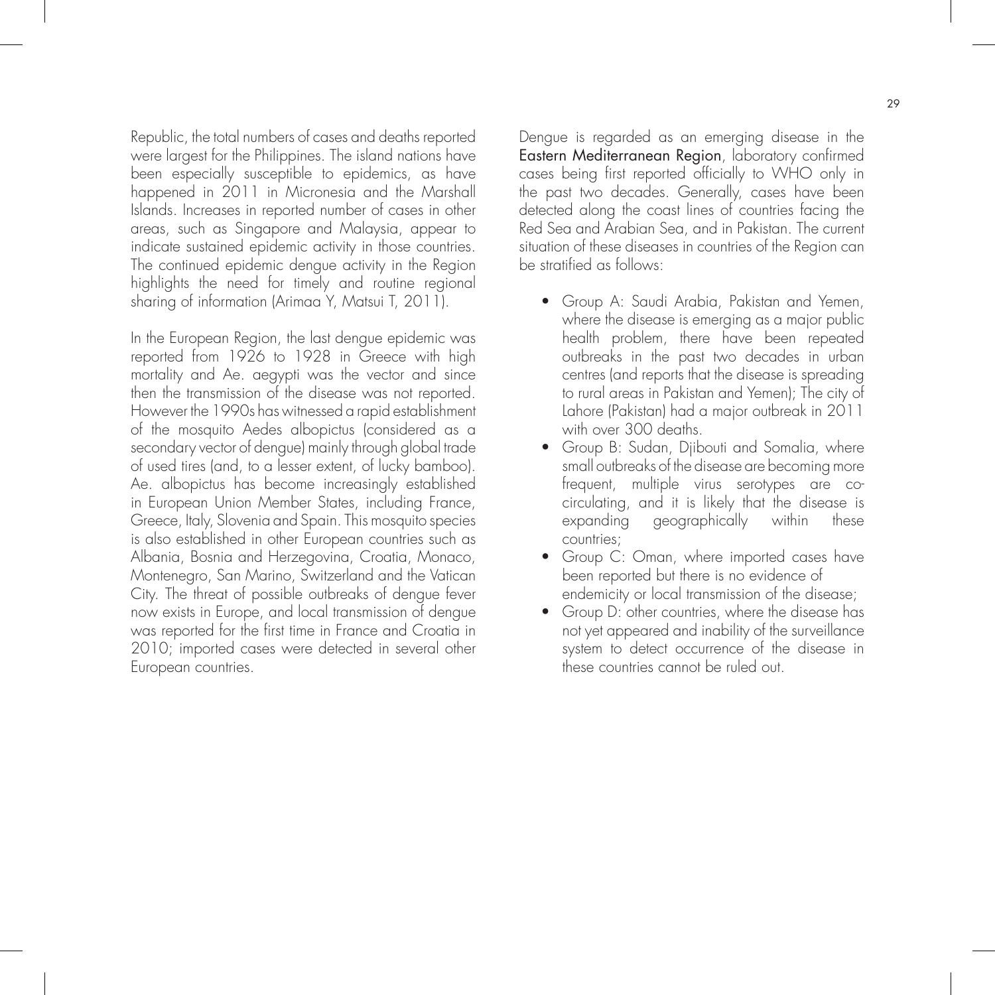Republic, the total numbers of cases and deaths reported were largest for the Philippines. The island nations have been especially susceptible to epidemics, as have happened in 2011 in Micronesia and the Marshall Islands. Increases in reported number of cases in other areas, such as Singapore and Malaysia, appear to indicate sustained epidemic activity in those countries. The continued epidemic dengue activity in the Region highlights the need for timely and routine regional sharing of information (Arimaa Y, Matsui T, 2011).

In the European Region, the last dengue epidemic was reported from 1926 to 1928 in Greece with high mortality and Ae. aegypti was the vector and since then the transmission of the disease was not reported. However the 1990s has witnessed a rapid establishment of the mosquito Aedes albopictus (considered as a secondary vector of dengue) mainly through global trade of used tires (and, to a lesser extent, of lucky bamboo). Ae. albopictus has become increasingly established in European Union Member States, including France, Greece, Italy, Slovenia and Spain. This mosquito species is also established in other European countries such as Albania, Bosnia and Herzegovina, Croatia, Monaco, Montenegro, San Marino, Switzerland and the Vatican City. The threat of possible outbreaks of dengue fever now exists in Europe, and local transmission of dengue was reported for the first time in France and Croatia in 2010; imported cases were detected in several other European countries.

Dengue is regarded as an emerging disease in the Eastern Mediterranean Region, laboratory confirmed cases being first reported officially to WHO only in the past two decades. Generally, cases have been detected along the coast lines of countries facing the Red Sea and Arabian Sea, and in Pakistan. The current situation of these diseases in countries of the Region can be stratified as follows:

- Group A: Saudi Arabia, Pakistan and Yemen, where the disease is emerging as a major public health problem, there have been repeated outbreaks in the past two decades in urban centres (and reports that the disease is spreading to rural areas in Pakistan and Yemen); The city of Lahore (Pakistan) had a major outbreak in 2011 with over 300 deaths.
- Group B: Sudan, Djibouti and Somalia, where small outbreaks of the disease are becoming more frequent, multiple virus serotypes are co circulating, and it is likely that the disease is expanding geographically within these countries;
- $\bullet$  Group C: Oman, where imported cases have been reported but there is no evidence of endemicity or local transmission of the disease;
	- Group D: other countries, where the disease has not yet appeared and inability of the surveillance system to detect occurrence of the disease in these countries cannot be ruled out.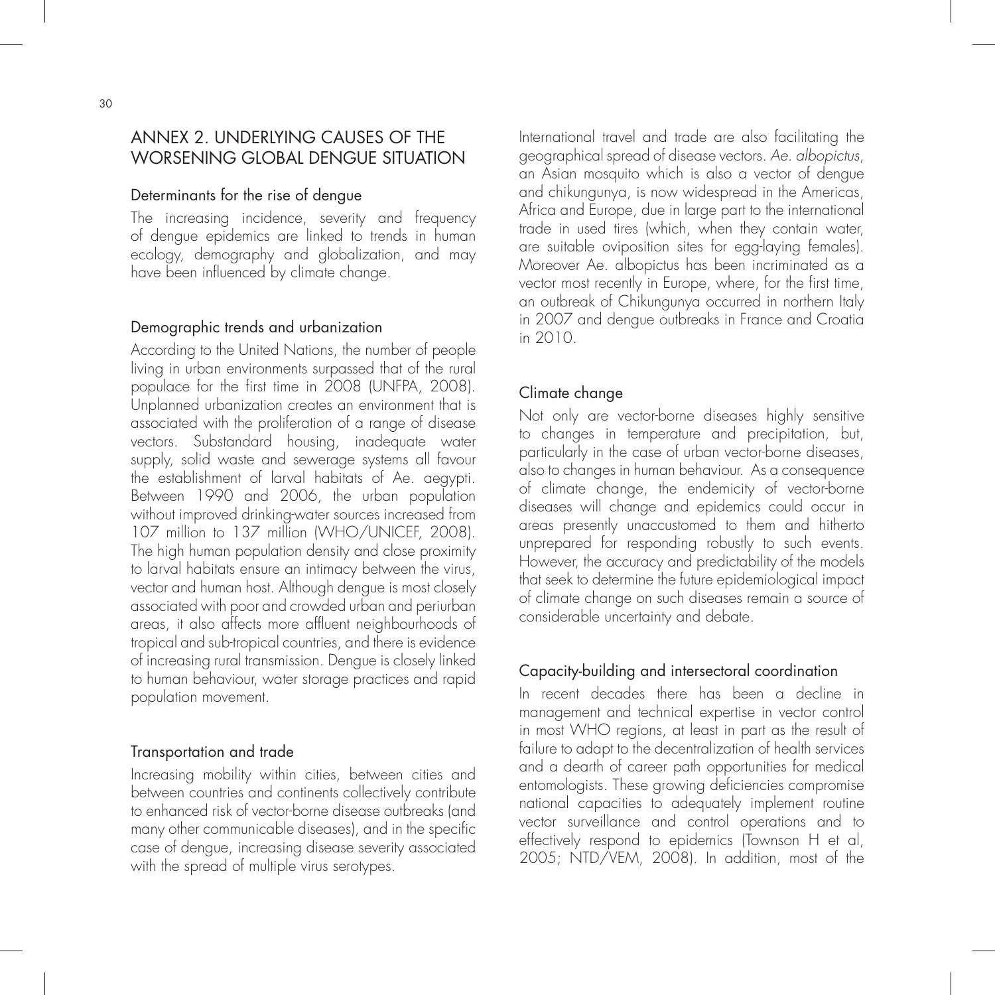## ANNEX 2. UNDERLYING CAUSES OF THE WORSENING GLOBAL DENGUE SITUATION

#### Determinants for the rise of dengue

The increasing incidence, severity and frequency of dengue epidemics are linked to trends in human ecology, demography and globalization, and may have been influenced by climate change.

#### Demographic trends and urbanization

According to the United Nations, the number of people living in urban environments surpassed that of the rural populace for the first time in 2008 (UNFPA, 2008). Unplanned urbanization creates an environment that is associated with the proliferation of a range of disease vectors. Substandard housing, inadequate water supply, solid waste and sewerage systems all favour the establishment of larval habitats of Ae. aegypti. Between 1990 and 2006, the urban population without improved drinking-water sources increased from 107 million to 137 million (WHO/UNICEF, 2008). The high human population density and close proximity to larval habitats ensure an intimacy between the virus, vector and human host. Although dengue is most closely associated with poor and crowded urban and periurban areas, it also affects more affluent neighbourhoods of tropical and sub-tropical countries, and there is evidence of increasing rural transmission. Dengue is closely linked to human behaviour, water storage practices and rapid population movement.

#### Transportation and trade

Increasing mobility within cities, between cities and between countries and continents collectively contribute to enhanced risk of vector-borne disease outbreaks (and many other communicable diseases), and in the specific case of dengue, increasing disease severity associated with the spread of multiple virus serotypes.

International travel and trade are also facilitating the geographical spread of disease vectors. Ae. albopictus, an Asian mosquito which is also a vector of dengue and chikungunya, is now widespread in the Americas, Africa and Europe, due in large part to the international trade in used tires (which, when they contain water, are suitable oviposition sites for egg-laying females). Moreover Ae. albopictus has been incriminated as a vector most recently in Europe, where, for the first time, an outbreak of Chikungunya occurred in northern Italy in 2007 and dengue outbreaks in France and Croatia in 2010.

#### Climate change

Not only are vector-borne diseases highly sensitive to changes in temperature and precipitation, but, particularly in the case of urban vector-borne diseases, also to changes in human behaviour. As a consequence of climate change, the endemicity of vector-borne diseases will change and epidemics could occur in areas presently unaccustomed to them and hitherto unprepared for responding robustly to such events. However, the accuracy and predictability of the models that seek to determine the future epidemiological impact of climate change on such diseases remain a source of considerable uncertainty and debate.

#### Capacity-building and intersectoral coordination

In recent decades there has been a decline in management and technical expertise in vector control in most WHO regions, at least in part as the result of failure to adapt to the decentralization of health services and a dearth of career path opportunities for medical entomologists. These growing deficiencies compromise national capacities to adequately implement routine vector surveillance and control operations and to effectively respond to epidemics (Townson H et al, 2005; NTD/VEM, 2008). In addition, most of the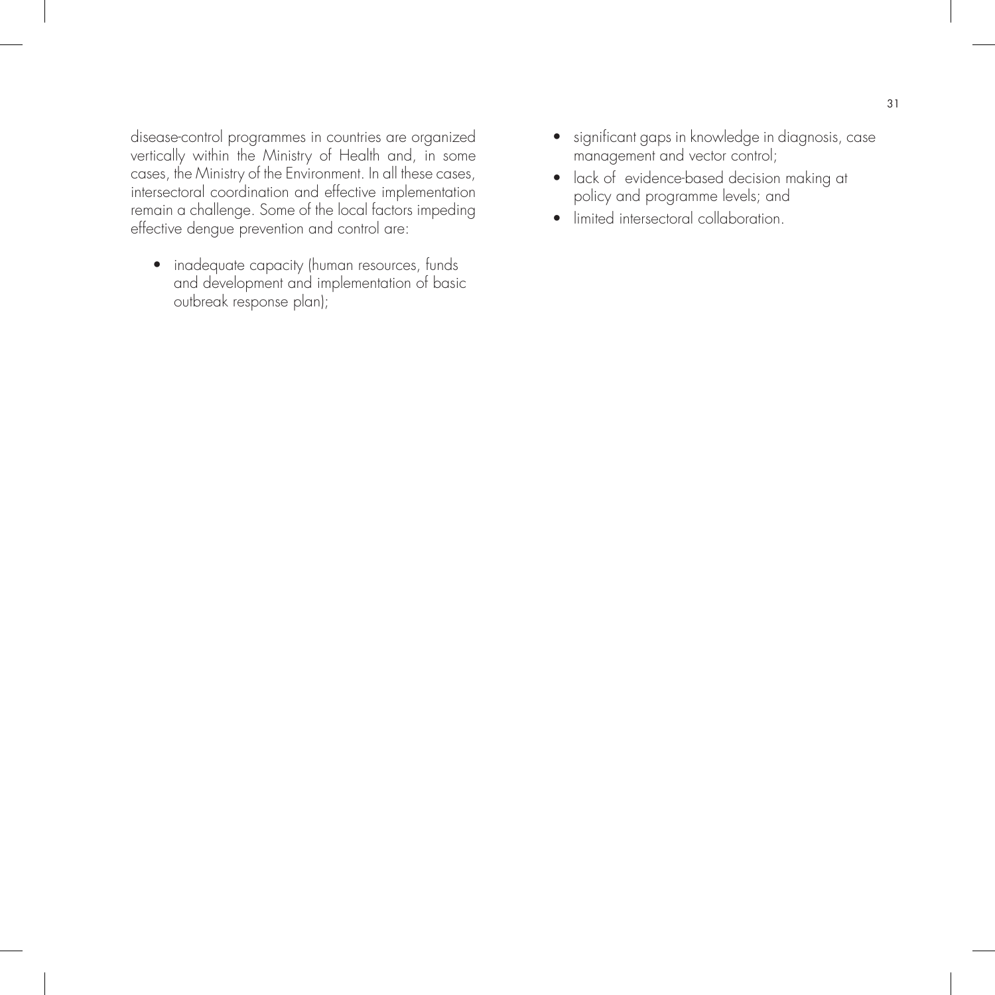disease-control programmes in countries are organized vertically within the Ministry of Health and, in some cases, the Ministry of the Environment. In all these cases, intersectoral coordination and effective implementation remain a challenge. Some of the local factors impeding effective dengue prevention and control are:

• inadequate capacity (human resources, funds and development and implementation of basic outbreak response plan);

- significant gaps in knowledge in diagnosis, case management and vector control;
- lack of evidence-based decision making at policy and programme levels; and
- limited intersectoral collaboration.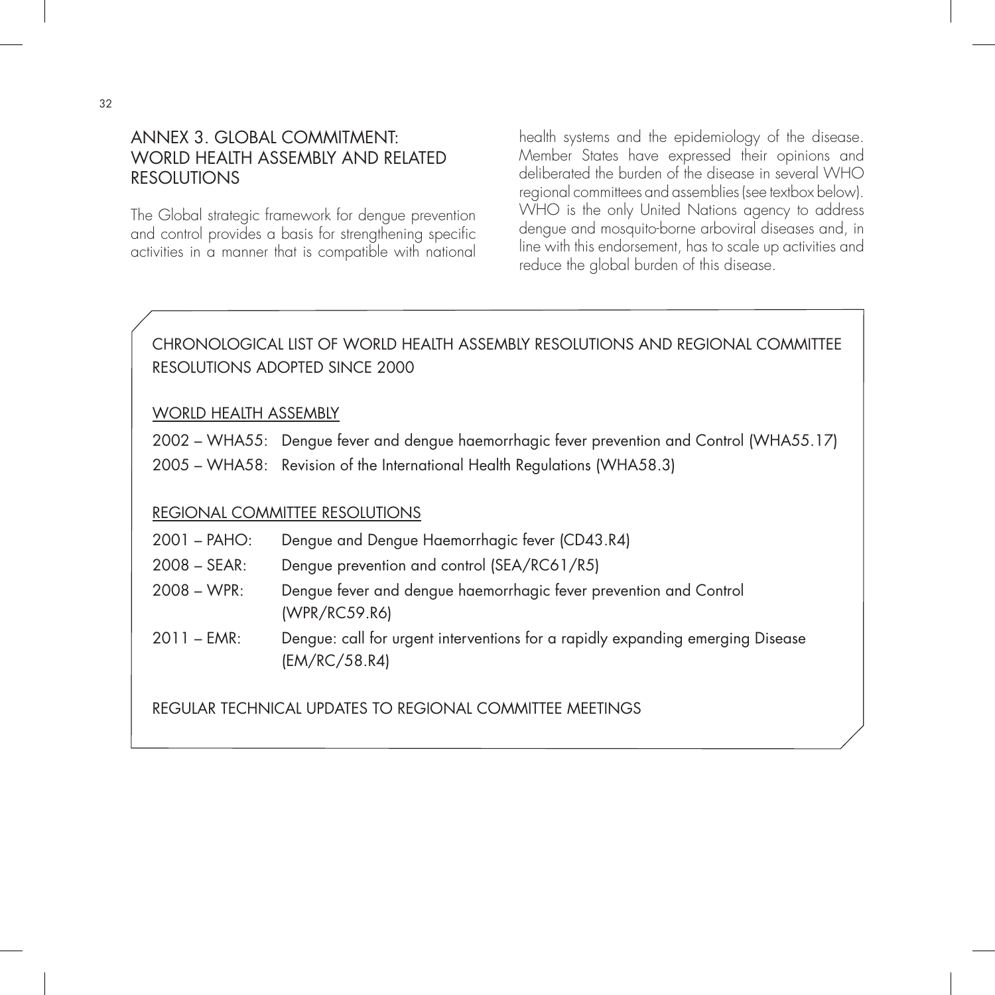## ANNEX 3. GLOBAL COMMITMENT: WORLD HEALTH ASSEMBLY AND RELATED **RESOLUTIONS**

The Global strategic framework for dengue prevention and control provides a basis for strengthening specific activities in a manner that is compatible with national

health systems and the epidemiology of the disease. Member States have expressed their opinions and deliberated the burden of the disease in several WHO regional committees and assemblies (see textbox below). WHO is the only United Nations agency to address dengue and mosquito-borne arboviral diseases and, in line with this endorsement, has to scale up activities and reduce the global burden of this disease.

## CHRONOLOGICAL LIST OF WORLD HEALTH ASSEMBLY RESOLUTIONS AND REGIONAL COMMITTEE RESOLUTIONS ADOPTED SINCE 2000

#### WORLD HEALTH ASSEMBLY

- 2002 WHA55: Dengue fever and dengue haemorrhagic fever prevention and Control (WHA55.17)
- 2005 WHA58: Revision of the International Health Regulations (WHA58.3)

#### REGIONAL COMMITTEE RESOLUTIONS

- 2001 PAHO: Dengue and Dengue Haemorrhagic fever (CD43.R4)
- 2008 SEAR: Dengue prevention and control (SEA/RC61/R5)
- 2008 WPR: Dengue fever and dengue haemorrhagic fever prevention and Control (WPR/RC59.R6)
- 2011 EMR: Dengue: call for urgent interventions for a rapidly expanding emerging Disease (EM/RC/58.R4)

REGULAR TECHNICAL UPDATES TO REGIONAL COMMITTEE MEETINGS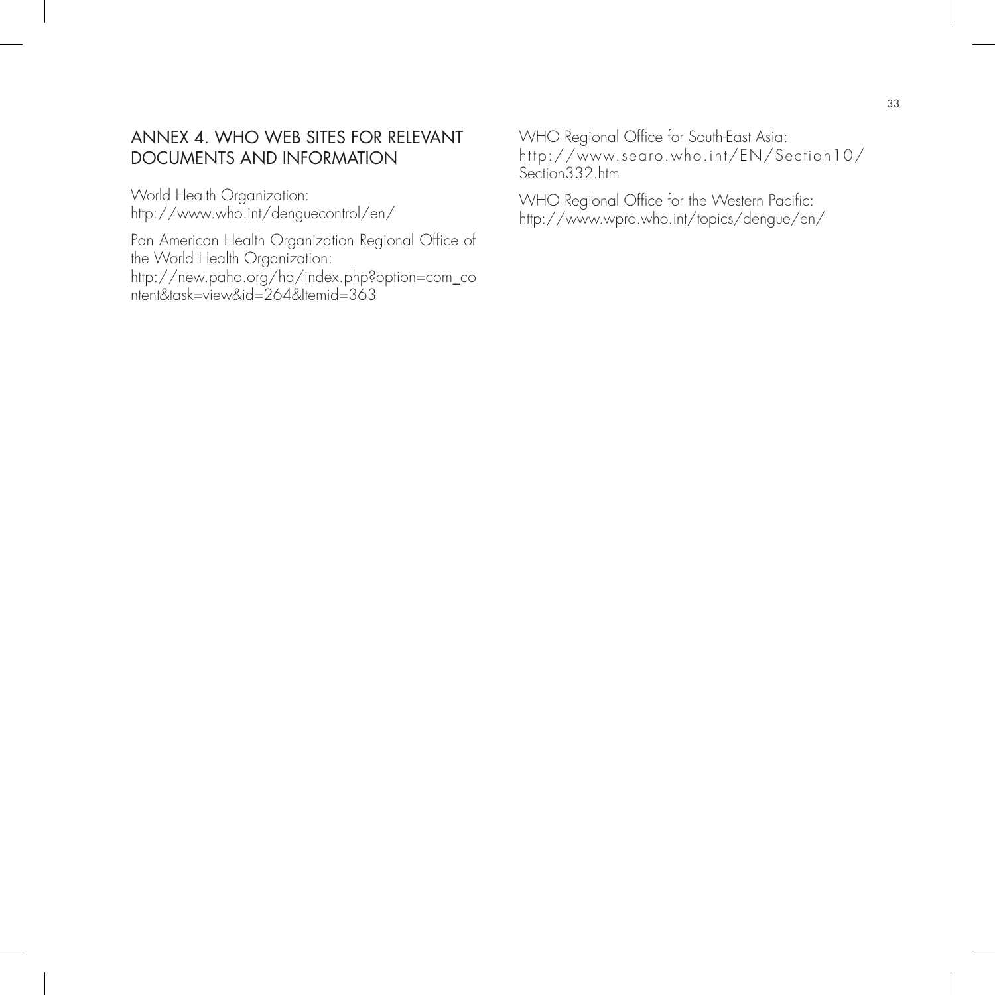## ANNEX 4. WHO WEB SITES FOR RELEVANT DOCUMENTS AND INFORMATION

World Health Organization: http://www.who.int/denguecontrol/en/

Pan American Health Organization Regional Office of the World Health Organization: http://new.paho.org/hq/index.php?option=com\_co ntent&task=view&id=264&Itemid=363

WHO Regional Office for South-East Asia: http://www.searo.who.int/EN/Section10/ Section332.htm

WHO Regional Office for the Western Pacific: http://www.wpro.who.int/topics/dengue/en/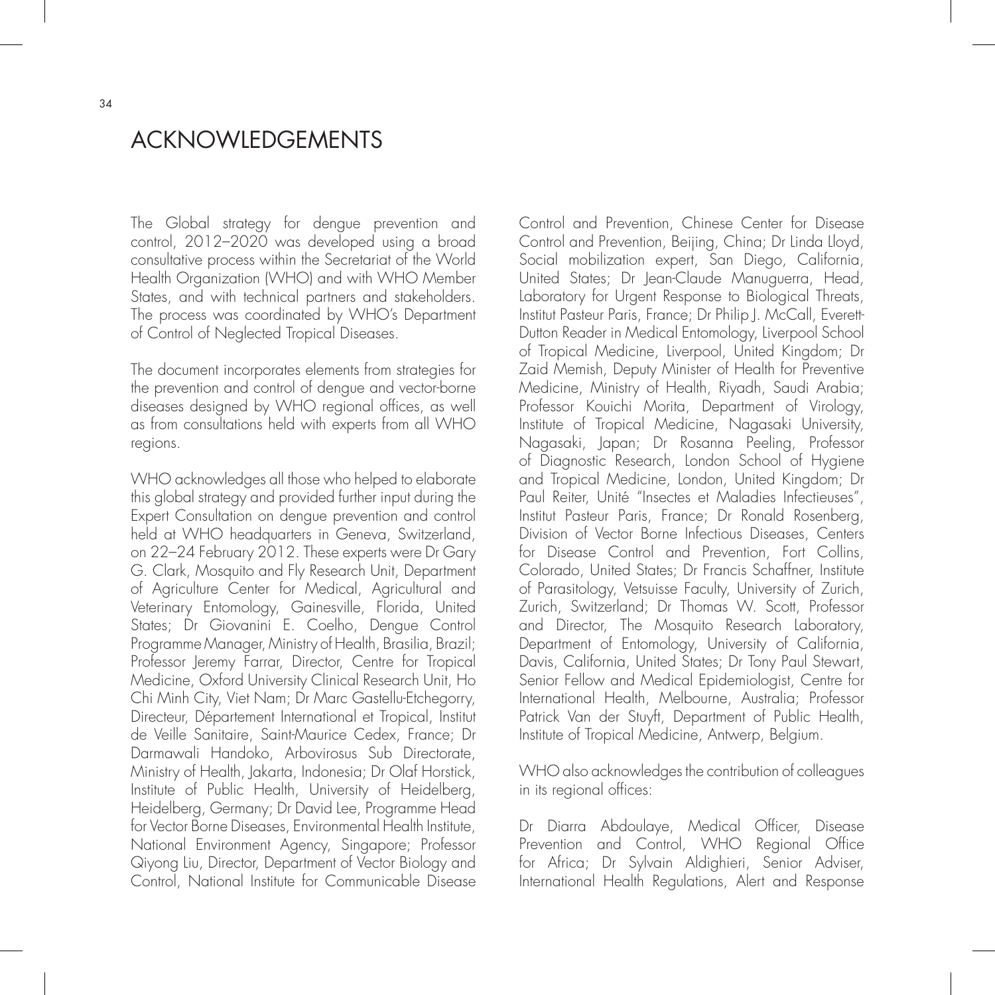## ACKNOWLEDGEMENTS

The Global strategy for dengue prevention and control, 2012–2020 was developed using a broad consultative process within the Secretariat of the World Health Organization (WHO) and with WHO Member States, and with technical partners and stakeholders. The process was coordinated by WHO's Department of Control of Neglected Tropical Diseases.

The document incorporates elements from strategies for the prevention and control of dengue and vector-borne diseases designed by WHO regional offices, as well as from consultations held with experts from all WHO regions.

WHO acknowledges all those who helped to elaborate this global strategy and provided further input during the Expert Consultation on dengue prevention and control held at WHO headquarters in Geneva, Switzerland, on 22–24 February 2012. These experts were Dr Gary G. Clark, Mosquito and Fly Research Unit, Department of Agriculture Center for Medical, Agricultural and Veterinary Entomology, Gainesville, Florida, United States; Dr Giovanini E. Coelho, Dengue Control Programme Manager, Ministry of Health, Brasilia, Brazil; Professor Jeremy Farrar, Director, Centre for Tropical Medicine, Oxford University Clinical Research Unit, Ho Chi Minh City, Viet Nam; Dr Marc Gastellu-Etchegorry, Directeur, Département International et Tropical, Institut de Veille Sanitaire, Saint-Maurice Cedex, France; Dr Darmawali Handoko, Arbovirosus Sub Directorate, Ministry of Health, Jakarta, Indonesia; Dr Olaf Horstick, Institute of Public Health, University of Heidelberg, Heidelberg, Germany; Dr David Lee, Programme Head for Vector Borne Diseases, Environmental Health Institute, National Environment Agency, Singapore; Professor Qiyong Liu, Director, Department of Vector Biology and Control, National Institute for Communicable Disease

Control and Prevention, Chinese Center for Disease Control and Prevention, Beijing, China; Dr Linda Lloyd, Social mobilization expert, San Diego, California, United States; Dr Jean-Claude Manuguerra, Head, Laboratory for Urgent Response to Biological Threats, Institut Pasteur Paris, France; Dr Philip J. McCall, Everett-Dutton Reader in Medical Entomology, Liverpool School of Tropical Medicine, Liverpool, United Kingdom; Dr Zaid Memish, Deputy Minister of Health for Preventive Medicine, Ministry of Health, Riyadh, Saudi Arabia; Professor Kouichi Morita, Department of Virology, Institute of Tropical Medicine, Nagasaki University, Nagasaki, Japan; Dr Rosanna Peeling, Professor of Diagnostic Research, London School of Hygiene and Tropical Medicine, London, United Kingdom; Dr Paul Reiter, Unité "Insectes et Maladies Infectieuses", Institut Pasteur Paris, France; Dr Ronald Rosenberg, Division of Vector Borne Infectious Diseases, Centers for Disease Control and Prevention, Fort Collins, Colorado, United States; Dr Francis Schaffner, Institute of Parasitology, Vetsuisse Faculty, University of Zurich, Zurich, Switzerland; Dr Thomas W. Scott, Professor and Director, The Mosquito Research Laboratory, Department of Entomology, University of California, Davis, California, United States; Dr Tony Paul Stewart, Senior Fellow and Medical Epidemiologist, Centre for International Health, Melbourne, Australia; Professor Patrick Van der Stuyft, Department of Public Health, Institute of Tropical Medicine, Antwerp, Belgium.

WHO also acknowledges the contribution of colleagues in its regional offices:

Dr Diarra Abdoulaye, Medical Officer, Disease Prevention and Control, WHO Regional Office for Africa; Dr Sylvain Aldighieri, Senior Adviser, International Health Regulations, Alert and Response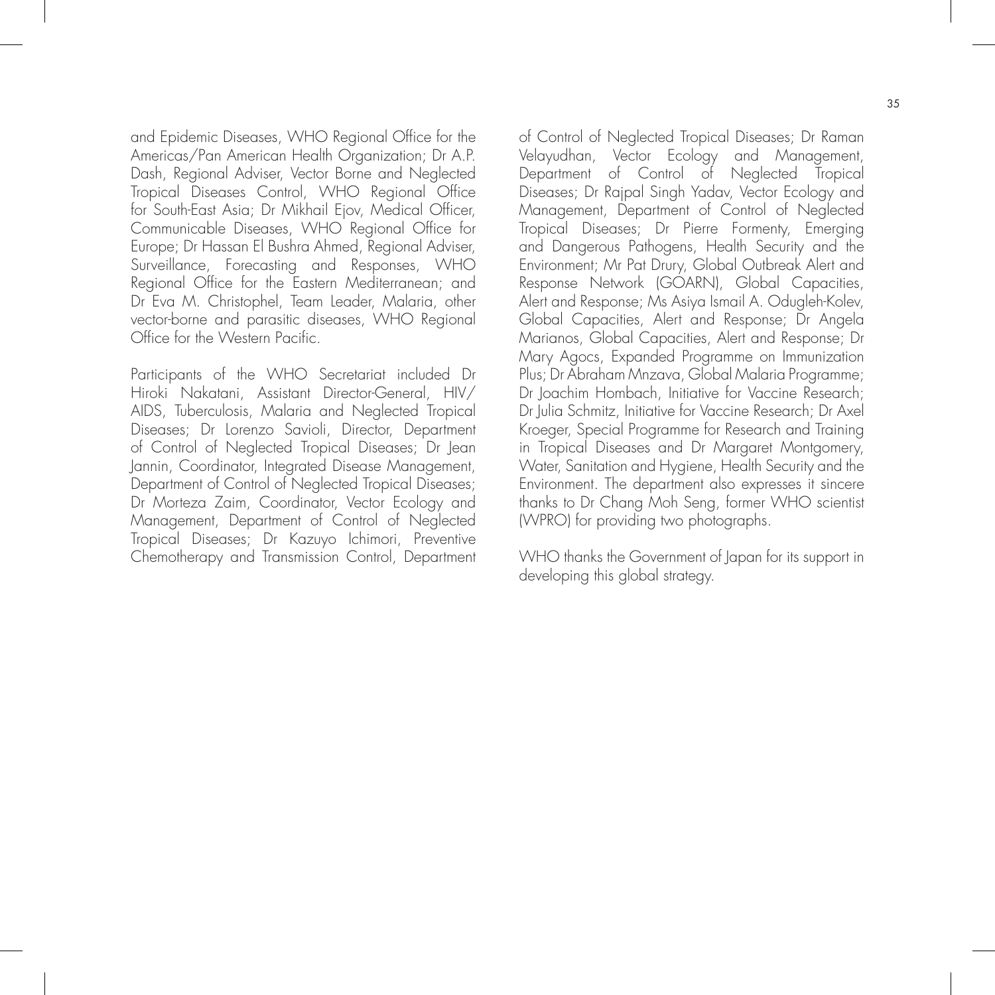and Epidemic Diseases, WHO Regional Office for the Americas/Pan American Health Organization; Dr A.P. Dash, Regional Adviser, Vector Borne and Neglected Tropical Diseases Control, WHO Regional Office for South-East Asia; Dr Mikhail Ejov, Medical Officer, Communicable Diseases, WHO Regional Office for Europe; Dr Hassan El Bushra Ahmed, Regional Adviser, Surveillance, Forecasting and Responses, WHO Regional Office for the Eastern Mediterranean; and Dr Eva M. Christophel, Team Leader, Malaria, other vector-borne and parasitic diseases, WHO Regional Office for the Western Pacific.

Participants of the WHO Secretariat included Dr Hiroki Nakatani, Assistant Director-General, HIV/ AIDS, Tuberculosis, Malaria and Neglected Tropical Diseases; Dr Lorenzo Savioli, Director, Department of Control of Neglected Tropical Diseases; Dr Jean Jannin, Coordinator, Integrated Disease Management, Department of Control of Neglected Tropical Diseases; Dr Morteza Zaim, Coordinator, Vector Ecology and Management, Department of Control of Neglected Tropical Diseases; Dr Kazuyo Ichimori, Preventive Chemotherapy and Transmission Control, Department

of Control of Neglected Tropical Diseases; Dr Raman Velayudhan, Vector Ecology and Management, Department of Control of Neglected Tropical Diseases; Dr Rajpal Singh Yadav, Vector Ecology and Management, Department of Control of Neglected Tropical Diseases; Dr Pierre Formenty, Emerging and Dangerous Pathogens, Health Security and the Environment; Mr Pat Drury, Global Outbreak Alert and Response Network (GOARN), Global Capacities, Alert and Response; Ms Asiya Ismail A. Odugleh-Kolev, Global Capacities, Alert and Response; Dr Angela Marianos, Global Capacities, Alert and Response; Dr Mary Agocs, Expanded Programme on Immunization Plus; Dr Abraham Mnzava, Global Malaria Programme; Dr Joachim Hombach, Initiative for Vaccine Research; Dr Julia Schmitz, Initiative for Vaccine Research; Dr Axel Kroeger, Special Programme for Research and Training in Tropical Diseases and Dr Margaret Montgomery, Water, Sanitation and Hygiene, Health Security and the Environment. The department also expresses it sincere thanks to Dr Chang Moh Seng, former WHO scientist (WPRO) for providing two photographs.

WHO thanks the Government of Japan for its support in developing this global strategy.